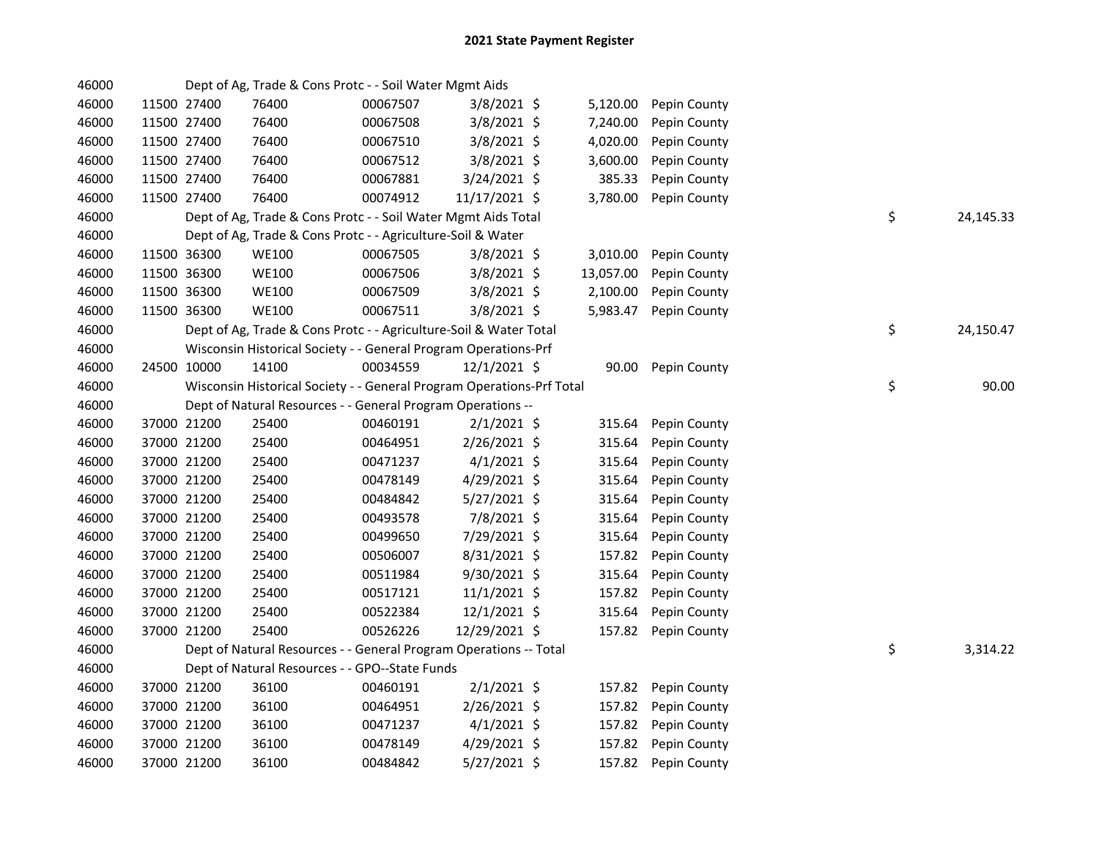| 46000 |             |             | Dept of Ag, Trade & Cons Protc - - Soil Water Mgmt Aids               |          |                |           |              |    |           |
|-------|-------------|-------------|-----------------------------------------------------------------------|----------|----------------|-----------|--------------|----|-----------|
| 46000 |             | 11500 27400 | 76400                                                                 | 00067507 | $3/8/2021$ \$  | 5,120.00  | Pepin County |    |           |
| 46000 | 11500 27400 |             | 76400                                                                 | 00067508 | $3/8/2021$ \$  | 7,240.00  | Pepin County |    |           |
| 46000 | 11500 27400 |             | 76400                                                                 | 00067510 | $3/8/2021$ \$  | 4,020.00  | Pepin County |    |           |
| 46000 | 11500 27400 |             | 76400                                                                 | 00067512 | 3/8/2021 \$    | 3,600.00  | Pepin County |    |           |
| 46000 | 11500 27400 |             | 76400                                                                 | 00067881 | 3/24/2021 \$   | 385.33    | Pepin County |    |           |
| 46000 | 11500 27400 |             | 76400                                                                 | 00074912 | 11/17/2021 \$  | 3,780.00  | Pepin County |    |           |
| 46000 |             |             | Dept of Ag, Trade & Cons Protc - - Soil Water Mgmt Aids Total         |          |                |           |              | \$ | 24,145.33 |
| 46000 |             |             | Dept of Ag, Trade & Cons Protc - - Agriculture-Soil & Water           |          |                |           |              |    |           |
| 46000 | 11500 36300 |             | WE100                                                                 | 00067505 | $3/8/2021$ \$  | 3,010.00  | Pepin County |    |           |
| 46000 |             | 11500 36300 | <b>WE100</b>                                                          | 00067506 | $3/8/2021$ \$  | 13,057.00 | Pepin County |    |           |
| 46000 | 11500 36300 |             | <b>WE100</b>                                                          | 00067509 | $3/8/2021$ \$  | 2,100.00  | Pepin County |    |           |
| 46000 | 11500 36300 |             | <b>WE100</b>                                                          | 00067511 | $3/8/2021$ \$  | 5,983.47  | Pepin County |    |           |
| 46000 |             |             | Dept of Ag, Trade & Cons Protc - - Agriculture-Soil & Water Total     |          |                |           |              | \$ | 24,150.47 |
| 46000 |             |             | Wisconsin Historical Society - - General Program Operations-Prf       |          |                |           |              |    |           |
| 46000 |             | 24500 10000 | 14100                                                                 | 00034559 | 12/1/2021 \$   | 90.00     | Pepin County |    |           |
| 46000 |             |             | Wisconsin Historical Society - - General Program Operations-Prf Total |          |                |           |              | \$ | 90.00     |
| 46000 |             |             | Dept of Natural Resources - - General Program Operations --           |          |                |           |              |    |           |
| 46000 |             | 37000 21200 | 25400                                                                 | 00460191 | $2/1/2021$ \$  | 315.64    | Pepin County |    |           |
| 46000 |             | 37000 21200 | 25400                                                                 | 00464951 | 2/26/2021 \$   | 315.64    | Pepin County |    |           |
| 46000 |             | 37000 21200 | 25400                                                                 | 00471237 | $4/1/2021$ \$  | 315.64    | Pepin County |    |           |
| 46000 |             | 37000 21200 | 25400                                                                 | 00478149 | 4/29/2021 \$   | 315.64    | Pepin County |    |           |
| 46000 |             | 37000 21200 | 25400                                                                 | 00484842 | 5/27/2021 \$   | 315.64    | Pepin County |    |           |
| 46000 |             | 37000 21200 | 25400                                                                 | 00493578 | 7/8/2021 \$    | 315.64    | Pepin County |    |           |
| 46000 |             | 37000 21200 | 25400                                                                 | 00499650 | 7/29/2021 \$   | 315.64    | Pepin County |    |           |
| 46000 |             | 37000 21200 | 25400                                                                 | 00506007 | 8/31/2021 \$   | 157.82    | Pepin County |    |           |
| 46000 |             | 37000 21200 | 25400                                                                 | 00511984 | 9/30/2021 \$   | 315.64    | Pepin County |    |           |
| 46000 |             | 37000 21200 | 25400                                                                 | 00517121 | $11/1/2021$ \$ | 157.82    | Pepin County |    |           |
| 46000 |             | 37000 21200 | 25400                                                                 | 00522384 | $12/1/2021$ \$ | 315.64    | Pepin County |    |           |
| 46000 |             | 37000 21200 | 25400                                                                 | 00526226 | 12/29/2021 \$  | 157.82    | Pepin County |    |           |
| 46000 |             |             | Dept of Natural Resources - - General Program Operations -- Total     |          |                |           |              | \$ | 3,314.22  |
| 46000 |             |             | Dept of Natural Resources - - GPO--State Funds                        |          |                |           |              |    |           |
| 46000 |             | 37000 21200 | 36100                                                                 | 00460191 | $2/1/2021$ \$  | 157.82    | Pepin County |    |           |
| 46000 |             | 37000 21200 | 36100                                                                 | 00464951 | $2/26/2021$ \$ | 157.82    | Pepin County |    |           |
| 46000 |             | 37000 21200 | 36100                                                                 | 00471237 | $4/1/2021$ \$  | 157.82    | Pepin County |    |           |
| 46000 |             | 37000 21200 | 36100                                                                 | 00478149 | $4/29/2021$ \$ | 157.82    | Pepin County |    |           |
| 46000 |             | 37000 21200 | 36100                                                                 | 00484842 | 5/27/2021 \$   | 157.82    | Pepin County |    |           |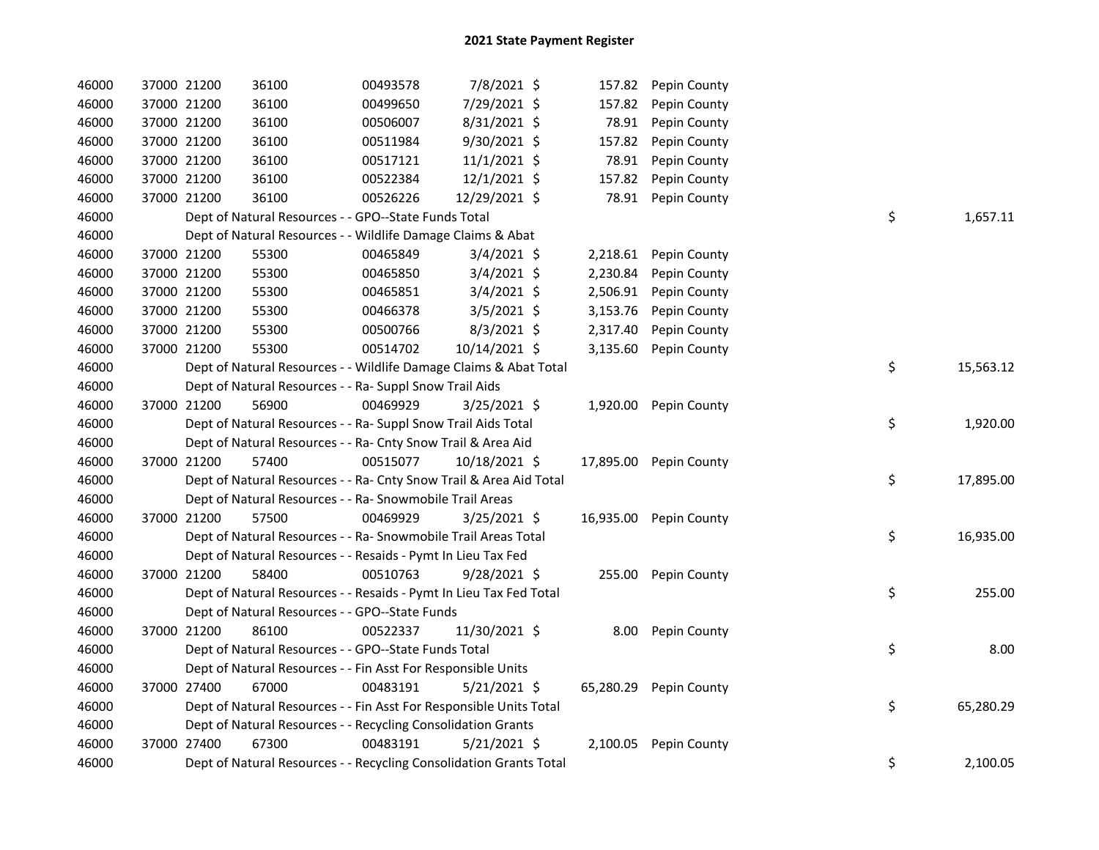| 46000 | 37000 21200 | 36100                                                              | 00493578 | 7/8/2021 \$    | 157.82    | Pepin County           |    |           |
|-------|-------------|--------------------------------------------------------------------|----------|----------------|-----------|------------------------|----|-----------|
| 46000 | 37000 21200 | 36100                                                              | 00499650 | 7/29/2021 \$   | 157.82    | Pepin County           |    |           |
| 46000 | 37000 21200 | 36100                                                              | 00506007 | 8/31/2021 \$   | 78.91     | Pepin County           |    |           |
| 46000 | 37000 21200 | 36100                                                              | 00511984 | 9/30/2021 \$   | 157.82    | Pepin County           |    |           |
| 46000 | 37000 21200 | 36100                                                              | 00517121 | $11/1/2021$ \$ | 78.91     | Pepin County           |    |           |
| 46000 | 37000 21200 | 36100                                                              | 00522384 | 12/1/2021 \$   | 157.82    | Pepin County           |    |           |
| 46000 | 37000 21200 | 36100                                                              | 00526226 | 12/29/2021 \$  | 78.91     | Pepin County           |    |           |
| 46000 |             | Dept of Natural Resources - - GPO--State Funds Total               |          |                |           |                        | \$ | 1,657.11  |
| 46000 |             | Dept of Natural Resources - - Wildlife Damage Claims & Abat        |          |                |           |                        |    |           |
| 46000 | 37000 21200 | 55300                                                              | 00465849 | $3/4/2021$ \$  | 2,218.61  | Pepin County           |    |           |
| 46000 | 37000 21200 | 55300                                                              | 00465850 | $3/4/2021$ \$  | 2,230.84  | Pepin County           |    |           |
| 46000 | 37000 21200 | 55300                                                              | 00465851 | $3/4/2021$ \$  | 2,506.91  | Pepin County           |    |           |
| 46000 | 37000 21200 | 55300                                                              | 00466378 | $3/5/2021$ \$  | 3,153.76  | Pepin County           |    |           |
| 46000 | 37000 21200 | 55300                                                              | 00500766 | $8/3/2021$ \$  | 2,317.40  | Pepin County           |    |           |
| 46000 | 37000 21200 | 55300                                                              | 00514702 | 10/14/2021 \$  | 3,135.60  | Pepin County           |    |           |
| 46000 |             | Dept of Natural Resources - - Wildlife Damage Claims & Abat Total  |          |                |           |                        | \$ | 15,563.12 |
| 46000 |             | Dept of Natural Resources - - Ra- Suppl Snow Trail Aids            |          |                |           |                        |    |           |
| 46000 | 37000 21200 | 56900                                                              | 00469929 | 3/25/2021 \$   | 1,920.00  | Pepin County           |    |           |
| 46000 |             | Dept of Natural Resources - - Ra- Suppl Snow Trail Aids Total      |          |                |           |                        | \$ | 1,920.00  |
| 46000 |             | Dept of Natural Resources - - Ra- Cnty Snow Trail & Area Aid       |          |                |           |                        |    |           |
| 46000 | 37000 21200 | 57400                                                              | 00515077 | 10/18/2021 \$  | 17,895.00 | Pepin County           |    |           |
| 46000 |             | Dept of Natural Resources - - Ra- Cnty Snow Trail & Area Aid Total |          |                |           |                        | \$ | 17,895.00 |
| 46000 |             | Dept of Natural Resources - - Ra- Snowmobile Trail Areas           |          |                |           |                        |    |           |
| 46000 | 37000 21200 | 57500                                                              | 00469929 | $3/25/2021$ \$ |           | 16,935.00 Pepin County |    |           |
| 46000 |             | Dept of Natural Resources - - Ra- Snowmobile Trail Areas Total     |          |                |           |                        | \$ | 16,935.00 |
| 46000 |             | Dept of Natural Resources - - Resaids - Pymt In Lieu Tax Fed       |          |                |           |                        |    |           |
| 46000 | 37000 21200 | 58400                                                              | 00510763 | 9/28/2021 \$   |           | 255.00 Pepin County    |    |           |
| 46000 |             | Dept of Natural Resources - - Resaids - Pymt In Lieu Tax Fed Total |          |                |           |                        | \$ | 255.00    |
| 46000 |             | Dept of Natural Resources - - GPO--State Funds                     |          |                |           |                        |    |           |
| 46000 | 37000 21200 | 86100                                                              | 00522337 | 11/30/2021 \$  | 8.00      | Pepin County           |    |           |
| 46000 |             | Dept of Natural Resources - - GPO--State Funds Total               |          |                |           |                        | \$ | 8.00      |
| 46000 |             | Dept of Natural Resources - - Fin Asst For Responsible Units       |          |                |           |                        |    |           |
| 46000 | 37000 27400 | 67000                                                              | 00483191 | $5/21/2021$ \$ |           | 65,280.29 Pepin County |    |           |
| 46000 |             | Dept of Natural Resources - - Fin Asst For Responsible Units Total |          |                |           |                        | \$ | 65,280.29 |
| 46000 |             | Dept of Natural Resources - - Recycling Consolidation Grants       |          |                |           |                        |    |           |
| 46000 | 37000 27400 | 67300                                                              | 00483191 | $5/21/2021$ \$ | 2,100.05  | Pepin County           |    |           |
| 46000 |             | Dept of Natural Resources - - Recycling Consolidation Grants Total |          |                |           |                        | \$ | 2,100.05  |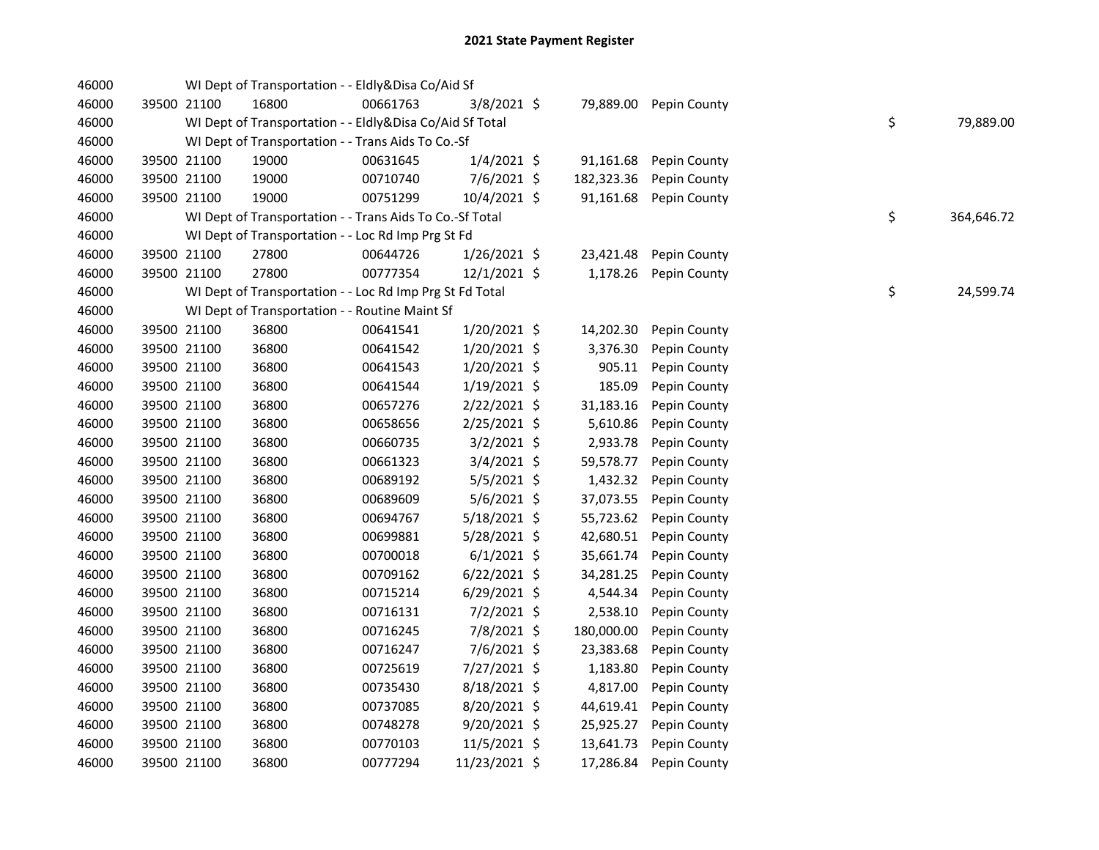| 46000 |             | WI Dept of Transportation - - Eldly&Disa Co/Aid Sf       |          |                |            |              |    |            |
|-------|-------------|----------------------------------------------------------|----------|----------------|------------|--------------|----|------------|
| 46000 | 39500 21100 | 16800                                                    | 00661763 | $3/8/2021$ \$  | 79,889.00  | Pepin County |    |            |
| 46000 |             | WI Dept of Transportation - - Eldly&Disa Co/Aid Sf Total |          |                |            |              | \$ | 79,889.00  |
| 46000 |             | WI Dept of Transportation - - Trans Aids To Co.-Sf       |          |                |            |              |    |            |
| 46000 | 39500 21100 | 19000                                                    | 00631645 | $1/4/2021$ \$  | 91,161.68  | Pepin County |    |            |
| 46000 | 39500 21100 | 19000                                                    | 00710740 | 7/6/2021 \$    | 182,323.36 | Pepin County |    |            |
| 46000 | 39500 21100 | 19000                                                    | 00751299 | 10/4/2021 \$   | 91,161.68  | Pepin County |    |            |
| 46000 |             | WI Dept of Transportation - - Trans Aids To Co.-Sf Total |          |                |            |              | \$ | 364,646.72 |
| 46000 |             | WI Dept of Transportation - - Loc Rd Imp Prg St Fd       |          |                |            |              |    |            |
| 46000 | 39500 21100 | 27800                                                    | 00644726 | 1/26/2021 \$   | 23,421.48  | Pepin County |    |            |
| 46000 | 39500 21100 | 27800                                                    | 00777354 | 12/1/2021 \$   | 1,178.26   | Pepin County |    |            |
| 46000 |             | WI Dept of Transportation - - Loc Rd Imp Prg St Fd Total |          |                |            |              | \$ | 24,599.74  |
| 46000 |             | WI Dept of Transportation - - Routine Maint Sf           |          |                |            |              |    |            |
| 46000 | 39500 21100 | 36800                                                    | 00641541 | 1/20/2021 \$   | 14,202.30  | Pepin County |    |            |
| 46000 | 39500 21100 | 36800                                                    | 00641542 | 1/20/2021 \$   | 3,376.30   | Pepin County |    |            |
| 46000 | 39500 21100 | 36800                                                    | 00641543 | 1/20/2021 \$   | 905.11     | Pepin County |    |            |
| 46000 | 39500 21100 | 36800                                                    | 00641544 | $1/19/2021$ \$ | 185.09     | Pepin County |    |            |
| 46000 | 39500 21100 | 36800                                                    | 00657276 | 2/22/2021 \$   | 31,183.16  | Pepin County |    |            |
| 46000 | 39500 21100 | 36800                                                    | 00658656 | 2/25/2021 \$   | 5,610.86   | Pepin County |    |            |
| 46000 | 39500 21100 | 36800                                                    | 00660735 | $3/2/2021$ \$  | 2,933.78   | Pepin County |    |            |
| 46000 | 39500 21100 | 36800                                                    | 00661323 | $3/4/2021$ \$  | 59,578.77  | Pepin County |    |            |
| 46000 | 39500 21100 | 36800                                                    | 00689192 | $5/5/2021$ \$  | 1,432.32   | Pepin County |    |            |
| 46000 | 39500 21100 | 36800                                                    | 00689609 | $5/6/2021$ \$  | 37,073.55  | Pepin County |    |            |
| 46000 | 39500 21100 | 36800                                                    | 00694767 | 5/18/2021 \$   | 55,723.62  | Pepin County |    |            |
| 46000 | 39500 21100 | 36800                                                    | 00699881 | $5/28/2021$ \$ | 42,680.51  | Pepin County |    |            |
| 46000 | 39500 21100 | 36800                                                    | 00700018 | $6/1/2021$ \$  | 35,661.74  | Pepin County |    |            |
| 46000 | 39500 21100 | 36800                                                    | 00709162 | $6/22/2021$ \$ | 34,281.25  | Pepin County |    |            |
| 46000 | 39500 21100 | 36800                                                    | 00715214 | $6/29/2021$ \$ | 4,544.34   | Pepin County |    |            |
| 46000 | 39500 21100 | 36800                                                    | 00716131 | $7/2/2021$ \$  | 2,538.10   | Pepin County |    |            |
| 46000 | 39500 21100 | 36800                                                    | 00716245 | 7/8/2021 \$    | 180,000.00 | Pepin County |    |            |
| 46000 | 39500 21100 | 36800                                                    | 00716247 | 7/6/2021 \$    | 23,383.68  | Pepin County |    |            |
| 46000 | 39500 21100 | 36800                                                    | 00725619 | 7/27/2021 \$   | 1,183.80   | Pepin County |    |            |
| 46000 | 39500 21100 | 36800                                                    | 00735430 | 8/18/2021 \$   | 4,817.00   | Pepin County |    |            |
| 46000 | 39500 21100 | 36800                                                    | 00737085 | 8/20/2021 \$   | 44,619.41  | Pepin County |    |            |
| 46000 | 39500 21100 | 36800                                                    | 00748278 | $9/20/2021$ \$ | 25,925.27  | Pepin County |    |            |
| 46000 | 39500 21100 | 36800                                                    | 00770103 | 11/5/2021 \$   | 13,641.73  | Pepin County |    |            |
| 46000 | 39500 21100 | 36800                                                    | 00777294 | 11/23/2021 \$  | 17,286.84  | Pepin County |    |            |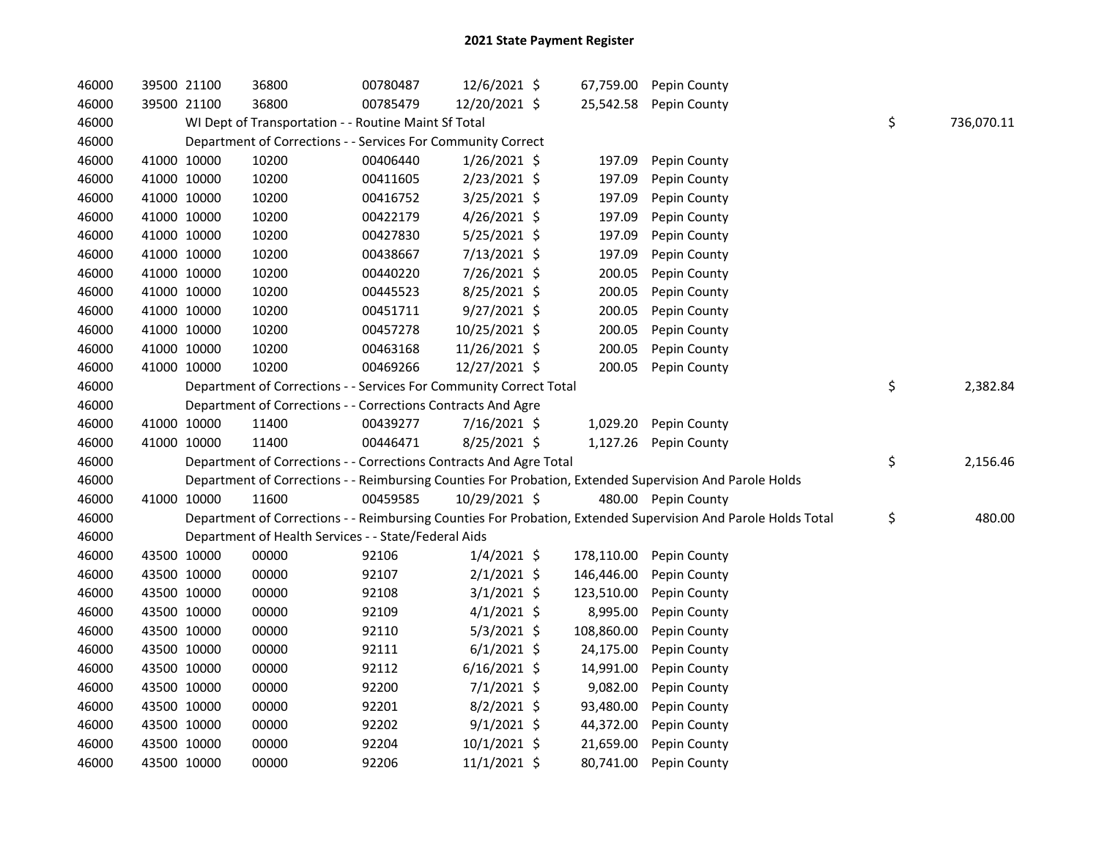| 46000 |             | 39500 21100 | 36800                                                              | 00780487 | 12/6/2021 \$   | 67,759.00  | Pepin County                                                                                                  |                  |
|-------|-------------|-------------|--------------------------------------------------------------------|----------|----------------|------------|---------------------------------------------------------------------------------------------------------------|------------------|
| 46000 |             | 39500 21100 | 36800                                                              | 00785479 | 12/20/2021 \$  | 25,542.58  | Pepin County                                                                                                  |                  |
| 46000 |             |             | WI Dept of Transportation - - Routine Maint Sf Total               |          |                |            |                                                                                                               | \$<br>736,070.11 |
| 46000 |             |             | Department of Corrections - - Services For Community Correct       |          |                |            |                                                                                                               |                  |
| 46000 |             | 41000 10000 | 10200                                                              | 00406440 | $1/26/2021$ \$ | 197.09     | Pepin County                                                                                                  |                  |
| 46000 |             | 41000 10000 | 10200                                                              | 00411605 | 2/23/2021 \$   | 197.09     | Pepin County                                                                                                  |                  |
| 46000 | 41000 10000 |             | 10200                                                              | 00416752 | 3/25/2021 \$   | 197.09     | Pepin County                                                                                                  |                  |
| 46000 | 41000 10000 |             | 10200                                                              | 00422179 | $4/26/2021$ \$ | 197.09     | Pepin County                                                                                                  |                  |
| 46000 | 41000 10000 |             | 10200                                                              | 00427830 | 5/25/2021 \$   | 197.09     | Pepin County                                                                                                  |                  |
| 46000 | 41000 10000 |             | 10200                                                              | 00438667 | 7/13/2021 \$   | 197.09     | Pepin County                                                                                                  |                  |
| 46000 |             | 41000 10000 | 10200                                                              | 00440220 | 7/26/2021 \$   | 200.05     | Pepin County                                                                                                  |                  |
| 46000 |             | 41000 10000 | 10200                                                              | 00445523 | 8/25/2021 \$   | 200.05     | Pepin County                                                                                                  |                  |
| 46000 |             | 41000 10000 | 10200                                                              | 00451711 | 9/27/2021 \$   | 200.05     | Pepin County                                                                                                  |                  |
| 46000 | 41000 10000 |             | 10200                                                              | 00457278 | 10/25/2021 \$  | 200.05     | Pepin County                                                                                                  |                  |
| 46000 | 41000 10000 |             | 10200                                                              | 00463168 | 11/26/2021 \$  | 200.05     | Pepin County                                                                                                  |                  |
| 46000 | 41000 10000 |             | 10200                                                              | 00469266 | 12/27/2021 \$  | 200.05     | Pepin County                                                                                                  |                  |
| 46000 |             |             | Department of Corrections - - Services For Community Correct Total |          |                |            |                                                                                                               | \$<br>2,382.84   |
| 46000 |             |             | Department of Corrections - - Corrections Contracts And Agre       |          |                |            |                                                                                                               |                  |
| 46000 |             | 41000 10000 | 11400                                                              | 00439277 | 7/16/2021 \$   | 1,029.20   | Pepin County                                                                                                  |                  |
| 46000 | 41000 10000 |             | 11400                                                              | 00446471 | 8/25/2021 \$   | 1,127.26   | Pepin County                                                                                                  |                  |
| 46000 |             |             | Department of Corrections - - Corrections Contracts And Agre Total |          |                |            |                                                                                                               | \$<br>2,156.46   |
| 46000 |             |             |                                                                    |          |                |            | Department of Corrections - - Reimbursing Counties For Probation, Extended Supervision And Parole Holds       |                  |
| 46000 |             | 41000 10000 | 11600                                                              | 00459585 | 10/29/2021 \$  |            | 480.00 Pepin County                                                                                           |                  |
| 46000 |             |             |                                                                    |          |                |            | Department of Corrections - - Reimbursing Counties For Probation, Extended Supervision And Parole Holds Total | \$<br>480.00     |
| 46000 |             |             | Department of Health Services - - State/Federal Aids               |          |                |            |                                                                                                               |                  |
| 46000 |             | 43500 10000 | 00000                                                              | 92106    | $1/4/2021$ \$  | 178,110.00 | Pepin County                                                                                                  |                  |
| 46000 |             | 43500 10000 | 00000                                                              | 92107    | $2/1/2021$ \$  | 146,446.00 | Pepin County                                                                                                  |                  |
| 46000 |             | 43500 10000 | 00000                                                              | 92108    | $3/1/2021$ \$  | 123,510.00 | Pepin County                                                                                                  |                  |
| 46000 |             | 43500 10000 | 00000                                                              | 92109    | $4/1/2021$ \$  | 8,995.00   | Pepin County                                                                                                  |                  |
| 46000 |             | 43500 10000 | 00000                                                              | 92110    | $5/3/2021$ \$  | 108,860.00 | Pepin County                                                                                                  |                  |
| 46000 |             | 43500 10000 | 00000                                                              | 92111    | $6/1/2021$ \$  | 24,175.00  | Pepin County                                                                                                  |                  |
| 46000 | 43500 10000 |             | 00000                                                              | 92112    | $6/16/2021$ \$ | 14,991.00  | Pepin County                                                                                                  |                  |
| 46000 | 43500 10000 |             | 00000                                                              | 92200    | $7/1/2021$ \$  | 9,082.00   | Pepin County                                                                                                  |                  |
| 46000 | 43500 10000 |             | 00000                                                              | 92201    | 8/2/2021 \$    | 93,480.00  | Pepin County                                                                                                  |                  |
| 46000 | 43500 10000 |             | 00000                                                              | 92202    | $9/1/2021$ \$  | 44,372.00  | Pepin County                                                                                                  |                  |
| 46000 |             | 43500 10000 | 00000                                                              | 92204    | 10/1/2021 \$   | 21,659.00  | Pepin County                                                                                                  |                  |
| 46000 | 43500 10000 |             | 00000                                                              | 92206    | 11/1/2021 \$   | 80,741.00  | Pepin County                                                                                                  |                  |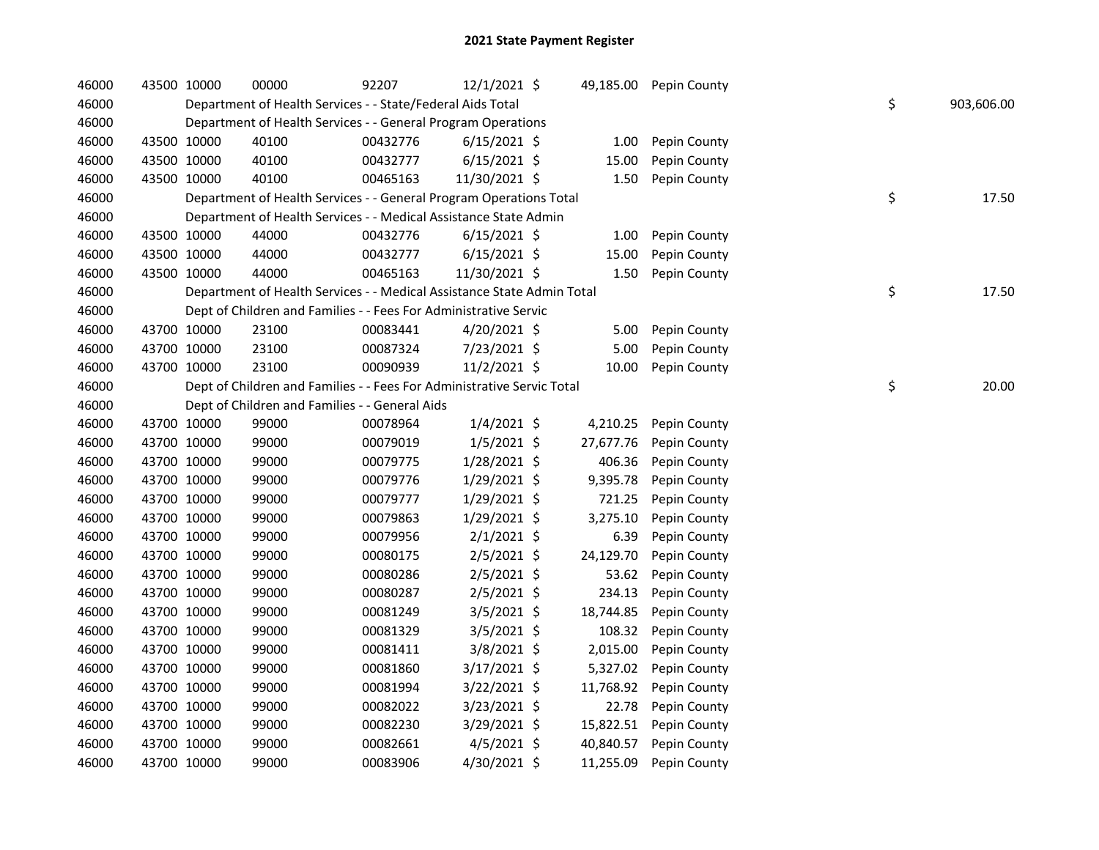| 46000 | 43500 10000 | 00000                                                                  | 92207    | $12/1/2021$ \$ |           | 49,185.00 Pepin County |    |            |
|-------|-------------|------------------------------------------------------------------------|----------|----------------|-----------|------------------------|----|------------|
| 46000 |             | Department of Health Services - - State/Federal Aids Total             |          |                |           |                        | \$ | 903,606.00 |
| 46000 |             | Department of Health Services - - General Program Operations           |          |                |           |                        |    |            |
| 46000 | 43500 10000 | 40100                                                                  | 00432776 | $6/15/2021$ \$ | 1.00      | Pepin County           |    |            |
| 46000 | 43500 10000 | 40100                                                                  | 00432777 | $6/15/2021$ \$ | 15.00     | Pepin County           |    |            |
| 46000 | 43500 10000 | 40100                                                                  | 00465163 | 11/30/2021 \$  | 1.50      | Pepin County           |    |            |
| 46000 |             | Department of Health Services - - General Program Operations Total     |          |                |           |                        | \$ | 17.50      |
| 46000 |             | Department of Health Services - - Medical Assistance State Admin       |          |                |           |                        |    |            |
| 46000 | 43500 10000 | 44000                                                                  | 00432776 | $6/15/2021$ \$ | 1.00      | Pepin County           |    |            |
| 46000 | 43500 10000 | 44000                                                                  | 00432777 | $6/15/2021$ \$ | 15.00     | Pepin County           |    |            |
| 46000 | 43500 10000 | 44000                                                                  | 00465163 | 11/30/2021 \$  | 1.50      | Pepin County           |    |            |
| 46000 |             | Department of Health Services - - Medical Assistance State Admin Total |          |                |           |                        | \$ | 17.50      |
| 46000 |             | Dept of Children and Families - - Fees For Administrative Servic       |          |                |           |                        |    |            |
| 46000 | 43700 10000 | 23100                                                                  | 00083441 | 4/20/2021 \$   | 5.00      | Pepin County           |    |            |
| 46000 | 43700 10000 | 23100                                                                  | 00087324 | 7/23/2021 \$   | 5.00      | Pepin County           |    |            |
| 46000 | 43700 10000 | 23100                                                                  | 00090939 | 11/2/2021 \$   | 10.00     | Pepin County           |    |            |
| 46000 |             | Dept of Children and Families - - Fees For Administrative Servic Total |          |                |           |                        | \$ | 20.00      |
| 46000 |             | Dept of Children and Families - - General Aids                         |          |                |           |                        |    |            |
| 46000 | 43700 10000 | 99000                                                                  | 00078964 | $1/4/2021$ \$  | 4,210.25  | Pepin County           |    |            |
| 46000 | 43700 10000 | 99000                                                                  | 00079019 | $1/5/2021$ \$  | 27,677.76 | Pepin County           |    |            |
| 46000 | 43700 10000 | 99000                                                                  | 00079775 | $1/28/2021$ \$ | 406.36    | Pepin County           |    |            |
| 46000 | 43700 10000 | 99000                                                                  | 00079776 | 1/29/2021 \$   | 9,395.78  | Pepin County           |    |            |
| 46000 | 43700 10000 | 99000                                                                  | 00079777 | $1/29/2021$ \$ | 721.25    | Pepin County           |    |            |
| 46000 | 43700 10000 | 99000                                                                  | 00079863 | 1/29/2021 \$   | 3,275.10  | Pepin County           |    |            |
| 46000 | 43700 10000 | 99000                                                                  | 00079956 | $2/1/2021$ \$  | 6.39      | Pepin County           |    |            |
| 46000 | 43700 10000 | 99000                                                                  | 00080175 | 2/5/2021 \$    | 24,129.70 | Pepin County           |    |            |
| 46000 | 43700 10000 | 99000                                                                  | 00080286 | $2/5/2021$ \$  | 53.62     | Pepin County           |    |            |
| 46000 | 43700 10000 | 99000                                                                  | 00080287 | $2/5/2021$ \$  | 234.13    | Pepin County           |    |            |
| 46000 | 43700 10000 | 99000                                                                  | 00081249 | 3/5/2021 \$    | 18,744.85 | Pepin County           |    |            |
| 46000 | 43700 10000 | 99000                                                                  | 00081329 | 3/5/2021 \$    | 108.32    | Pepin County           |    |            |
| 46000 | 43700 10000 | 99000                                                                  | 00081411 | 3/8/2021 \$    | 2,015.00  | Pepin County           |    |            |
| 46000 | 43700 10000 | 99000                                                                  | 00081860 | 3/17/2021 \$   | 5,327.02  | Pepin County           |    |            |
| 46000 | 43700 10000 | 99000                                                                  | 00081994 | 3/22/2021 \$   | 11,768.92 | Pepin County           |    |            |
| 46000 | 43700 10000 | 99000                                                                  | 00082022 | $3/23/2021$ \$ | 22.78     | Pepin County           |    |            |
| 46000 | 43700 10000 | 99000                                                                  | 00082230 | 3/29/2021 \$   | 15,822.51 | Pepin County           |    |            |
| 46000 | 43700 10000 | 99000                                                                  | 00082661 | $4/5/2021$ \$  | 40,840.57 | Pepin County           |    |            |
| 46000 | 43700 10000 | 99000                                                                  | 00083906 | 4/30/2021 \$   | 11,255.09 | Pepin County           |    |            |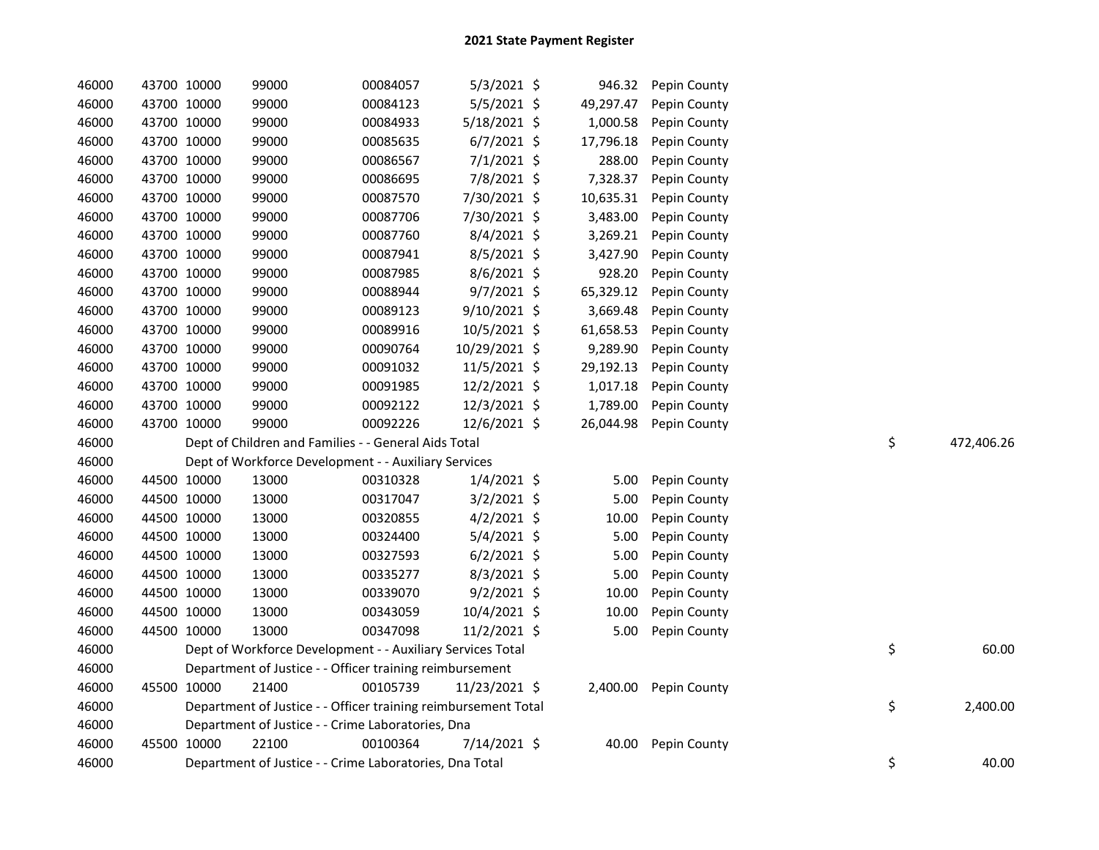| 46000 | 43700 10000 | 99000 | 00084057                                                       | $5/3/2021$ \$  | 946.32    | Pepin County          |    |            |
|-------|-------------|-------|----------------------------------------------------------------|----------------|-----------|-----------------------|----|------------|
| 46000 | 43700 10000 | 99000 | 00084123                                                       | 5/5/2021 \$    | 49,297.47 | Pepin County          |    |            |
| 46000 | 43700 10000 | 99000 | 00084933                                                       | 5/18/2021 \$   | 1,000.58  | Pepin County          |    |            |
| 46000 | 43700 10000 | 99000 | 00085635                                                       | $6/7/2021$ \$  | 17,796.18 | Pepin County          |    |            |
| 46000 | 43700 10000 | 99000 | 00086567                                                       | $7/1/2021$ \$  | 288.00    | Pepin County          |    |            |
| 46000 | 43700 10000 | 99000 | 00086695                                                       | 7/8/2021 \$    | 7,328.37  | Pepin County          |    |            |
| 46000 | 43700 10000 | 99000 | 00087570                                                       | 7/30/2021 \$   | 10,635.31 | Pepin County          |    |            |
| 46000 | 43700 10000 | 99000 | 00087706                                                       | 7/30/2021 \$   | 3,483.00  | Pepin County          |    |            |
| 46000 | 43700 10000 | 99000 | 00087760                                                       | $8/4/2021$ \$  | 3,269.21  | Pepin County          |    |            |
| 46000 | 43700 10000 | 99000 | 00087941                                                       | $8/5/2021$ \$  | 3,427.90  | Pepin County          |    |            |
| 46000 | 43700 10000 | 99000 | 00087985                                                       | 8/6/2021 \$    | 928.20    | Pepin County          |    |            |
| 46000 | 43700 10000 | 99000 | 00088944                                                       | $9/7/2021$ \$  | 65,329.12 | Pepin County          |    |            |
| 46000 | 43700 10000 | 99000 | 00089123                                                       | $9/10/2021$ \$ | 3,669.48  | Pepin County          |    |            |
| 46000 | 43700 10000 | 99000 | 00089916                                                       | 10/5/2021 \$   | 61,658.53 | Pepin County          |    |            |
| 46000 | 43700 10000 | 99000 | 00090764                                                       | 10/29/2021 \$  | 9,289.90  | Pepin County          |    |            |
| 46000 | 43700 10000 | 99000 | 00091032                                                       | 11/5/2021 \$   | 29,192.13 | Pepin County          |    |            |
| 46000 | 43700 10000 | 99000 | 00091985                                                       | 12/2/2021 \$   | 1,017.18  | Pepin County          |    |            |
| 46000 | 43700 10000 | 99000 | 00092122                                                       | 12/3/2021 \$   | 1,789.00  | Pepin County          |    |            |
| 46000 | 43700 10000 | 99000 | 00092226                                                       | 12/6/2021 \$   | 26,044.98 | Pepin County          |    |            |
| 46000 |             |       | Dept of Children and Families - - General Aids Total           |                |           |                       | \$ | 472,406.26 |
| 46000 |             |       | Dept of Workforce Development - - Auxiliary Services           |                |           |                       |    |            |
| 46000 | 44500 10000 | 13000 | 00310328                                                       | $1/4/2021$ \$  | 5.00      | Pepin County          |    |            |
| 46000 | 44500 10000 | 13000 | 00317047                                                       | $3/2/2021$ \$  | 5.00      | Pepin County          |    |            |
| 46000 | 44500 10000 | 13000 | 00320855                                                       | $4/2/2021$ \$  | 10.00     | Pepin County          |    |            |
| 46000 | 44500 10000 | 13000 | 00324400                                                       | 5/4/2021 \$    | 5.00      | Pepin County          |    |            |
| 46000 | 44500 10000 | 13000 | 00327593                                                       | $6/2/2021$ \$  | 5.00      | Pepin County          |    |            |
| 46000 | 44500 10000 | 13000 | 00335277                                                       | $8/3/2021$ \$  | 5.00      | Pepin County          |    |            |
| 46000 | 44500 10000 | 13000 | 00339070                                                       | $9/2/2021$ \$  | 10.00     | Pepin County          |    |            |
| 46000 | 44500 10000 | 13000 | 00343059                                                       | 10/4/2021 \$   | 10.00     | Pepin County          |    |            |
| 46000 | 44500 10000 | 13000 | 00347098                                                       | 11/2/2021 \$   | 5.00      | Pepin County          |    |            |
| 46000 |             |       | Dept of Workforce Development - - Auxiliary Services Total     |                |           |                       | \$ | 60.00      |
| 46000 |             |       | Department of Justice - - Officer training reimbursement       |                |           |                       |    |            |
| 46000 | 45500 10000 | 21400 | 00105739                                                       | 11/23/2021 \$  |           | 2,400.00 Pepin County |    |            |
| 46000 |             |       | Department of Justice - - Officer training reimbursement Total |                |           |                       | \$ | 2,400.00   |
| 46000 |             |       | Department of Justice - - Crime Laboratories, Dna              |                |           |                       |    |            |
| 46000 | 45500 10000 | 22100 | 00100364                                                       | 7/14/2021 \$   | 40.00     | Pepin County          |    |            |
| 46000 |             |       | Department of Justice - - Crime Laboratories, Dna Total        |                |           |                       | \$ | 40.00      |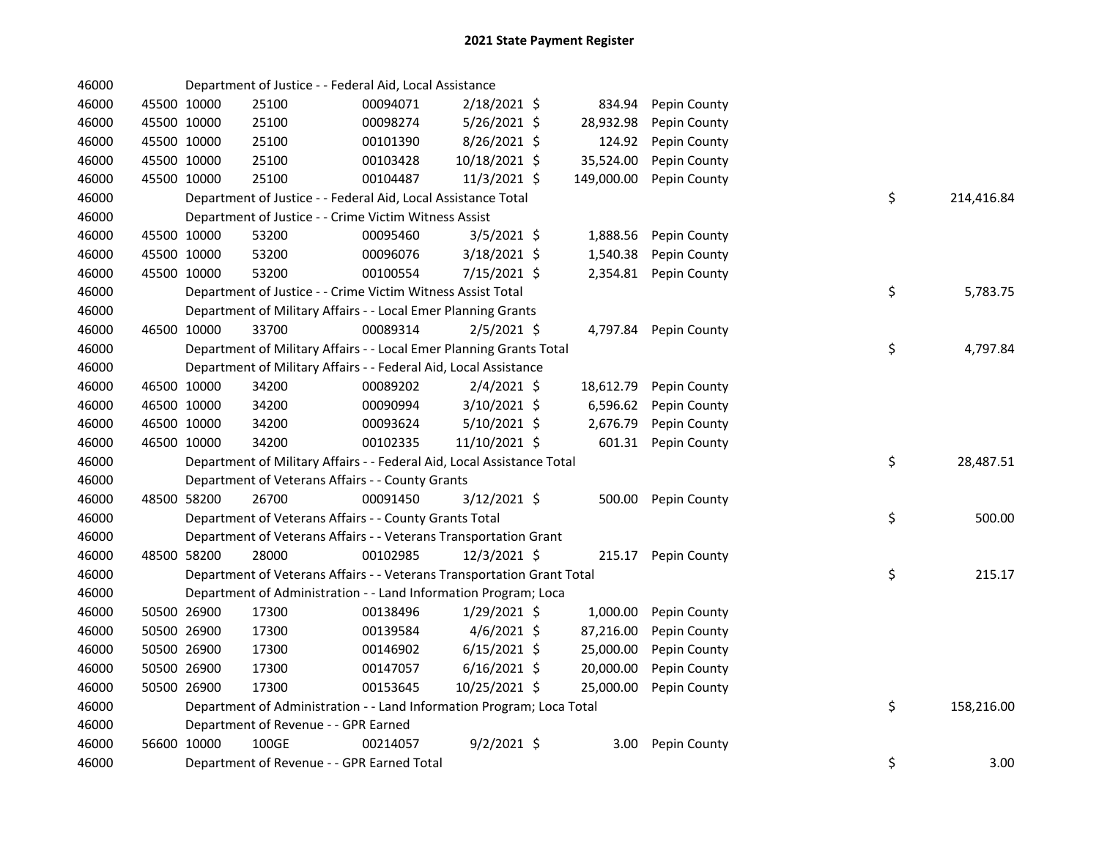| 46000 |             | Department of Justice - - Federal Aid, Local Assistance                |          |                |            |              |    |            |
|-------|-------------|------------------------------------------------------------------------|----------|----------------|------------|--------------|----|------------|
| 46000 | 45500 10000 | 25100                                                                  | 00094071 | 2/18/2021 \$   | 834.94     | Pepin County |    |            |
| 46000 | 45500 10000 | 25100                                                                  | 00098274 | 5/26/2021 \$   | 28,932.98  | Pepin County |    |            |
| 46000 | 45500 10000 | 25100                                                                  | 00101390 | 8/26/2021 \$   | 124.92     | Pepin County |    |            |
| 46000 | 45500 10000 | 25100                                                                  | 00103428 | 10/18/2021 \$  | 35,524.00  | Pepin County |    |            |
| 46000 | 45500 10000 | 25100                                                                  | 00104487 | 11/3/2021 \$   | 149,000.00 | Pepin County |    |            |
| 46000 |             | Department of Justice - - Federal Aid, Local Assistance Total          |          |                |            |              | \$ | 214,416.84 |
| 46000 |             | Department of Justice - - Crime Victim Witness Assist                  |          |                |            |              |    |            |
| 46000 | 45500 10000 | 53200                                                                  | 00095460 | $3/5/2021$ \$  | 1,888.56   | Pepin County |    |            |
| 46000 | 45500 10000 | 53200                                                                  | 00096076 | 3/18/2021 \$   | 1,540.38   | Pepin County |    |            |
| 46000 | 45500 10000 | 53200                                                                  | 00100554 | $7/15/2021$ \$ | 2,354.81   | Pepin County |    |            |
| 46000 |             | Department of Justice - - Crime Victim Witness Assist Total            |          |                |            |              | \$ | 5,783.75   |
| 46000 |             | Department of Military Affairs - - Local Emer Planning Grants          |          |                |            |              |    |            |
| 46000 | 46500 10000 | 33700                                                                  | 00089314 | $2/5/2021$ \$  | 4,797.84   | Pepin County |    |            |
| 46000 |             | Department of Military Affairs - - Local Emer Planning Grants Total    |          |                |            |              | \$ | 4,797.84   |
| 46000 |             | Department of Military Affairs - - Federal Aid, Local Assistance       |          |                |            |              |    |            |
| 46000 | 46500 10000 | 34200                                                                  | 00089202 | $2/4/2021$ \$  | 18,612.79  | Pepin County |    |            |
| 46000 | 46500 10000 | 34200                                                                  | 00090994 | 3/10/2021 \$   | 6,596.62   | Pepin County |    |            |
| 46000 | 46500 10000 | 34200                                                                  | 00093624 | $5/10/2021$ \$ | 2,676.79   | Pepin County |    |            |
| 46000 | 46500 10000 | 34200                                                                  | 00102335 | 11/10/2021 \$  | 601.31     | Pepin County |    |            |
| 46000 |             | Department of Military Affairs - - Federal Aid, Local Assistance Total |          |                |            |              | \$ | 28,487.51  |
| 46000 |             | Department of Veterans Affairs - - County Grants                       |          |                |            |              |    |            |
| 46000 | 48500 58200 | 26700                                                                  | 00091450 | 3/12/2021 \$   | 500.00     | Pepin County |    |            |
| 46000 |             | Department of Veterans Affairs - - County Grants Total                 |          |                |            |              | \$ | 500.00     |
| 46000 |             | Department of Veterans Affairs - - Veterans Transportation Grant       |          |                |            |              |    |            |
| 46000 | 48500 58200 | 28000                                                                  | 00102985 | 12/3/2021 \$   | 215.17     | Pepin County |    |            |
| 46000 |             | Department of Veterans Affairs - - Veterans Transportation Grant Total |          |                |            |              | \$ | 215.17     |
| 46000 |             | Department of Administration - - Land Information Program; Loca        |          |                |            |              |    |            |
| 46000 | 50500 26900 | 17300                                                                  | 00138496 | $1/29/2021$ \$ | 1,000.00   | Pepin County |    |            |
| 46000 | 50500 26900 | 17300                                                                  | 00139584 | $4/6/2021$ \$  | 87,216.00  | Pepin County |    |            |
| 46000 | 50500 26900 | 17300                                                                  | 00146902 | $6/15/2021$ \$ | 25,000.00  | Pepin County |    |            |
| 46000 | 50500 26900 | 17300                                                                  | 00147057 | $6/16/2021$ \$ | 20,000.00  | Pepin County |    |            |
| 46000 | 50500 26900 | 17300                                                                  | 00153645 | 10/25/2021 \$  | 25,000.00  | Pepin County |    |            |
| 46000 |             | Department of Administration - - Land Information Program; Loca Total  |          |                |            |              | \$ | 158,216.00 |
| 46000 |             | Department of Revenue - - GPR Earned                                   |          |                |            |              |    |            |
| 46000 | 56600 10000 | 100GE                                                                  | 00214057 | $9/2/2021$ \$  | 3.00       | Pepin County |    |            |
| 46000 |             | Department of Revenue - - GPR Earned Total                             |          |                |            |              | \$ | 3.00       |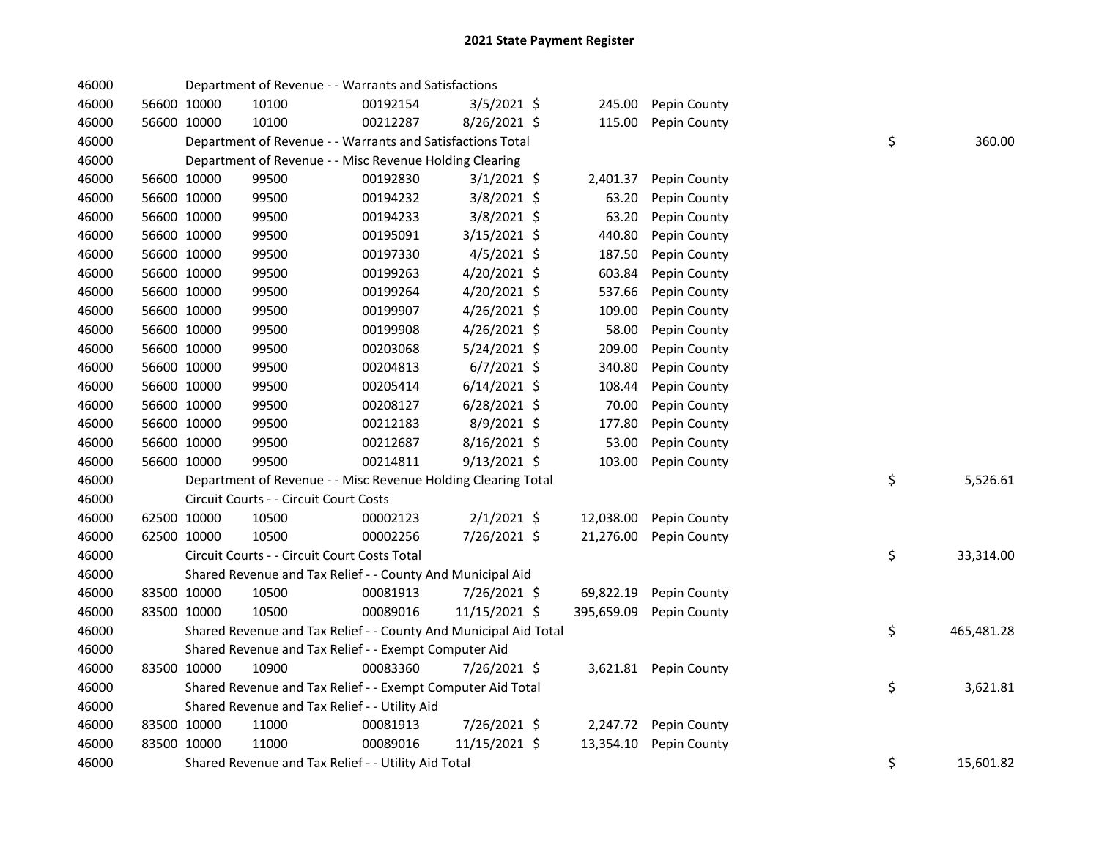| 46000 |             | Department of Revenue - - Warrants and Satisfactions             |          |                |            |                       |    |            |
|-------|-------------|------------------------------------------------------------------|----------|----------------|------------|-----------------------|----|------------|
| 46000 | 56600 10000 | 10100                                                            | 00192154 | 3/5/2021 \$    | 245.00     | Pepin County          |    |            |
| 46000 | 56600 10000 | 10100                                                            | 00212287 | 8/26/2021 \$   | 115.00     | Pepin County          |    |            |
| 46000 |             | Department of Revenue - - Warrants and Satisfactions Total       |          |                |            |                       | \$ | 360.00     |
| 46000 |             | Department of Revenue - - Misc Revenue Holding Clearing          |          |                |            |                       |    |            |
| 46000 | 56600 10000 | 99500                                                            | 00192830 | $3/1/2021$ \$  | 2,401.37   | Pepin County          |    |            |
| 46000 | 56600 10000 | 99500                                                            | 00194232 | 3/8/2021 \$    | 63.20      | Pepin County          |    |            |
| 46000 | 56600 10000 | 99500                                                            | 00194233 | 3/8/2021 \$    | 63.20      | Pepin County          |    |            |
| 46000 | 56600 10000 | 99500                                                            | 00195091 | 3/15/2021 \$   | 440.80     | Pepin County          |    |            |
| 46000 | 56600 10000 | 99500                                                            | 00197330 | $4/5/2021$ \$  | 187.50     | Pepin County          |    |            |
| 46000 | 56600 10000 | 99500                                                            | 00199263 | 4/20/2021 \$   | 603.84     | Pepin County          |    |            |
| 46000 | 56600 10000 | 99500                                                            | 00199264 | 4/20/2021 \$   | 537.66     | Pepin County          |    |            |
| 46000 | 56600 10000 | 99500                                                            | 00199907 | $4/26/2021$ \$ | 109.00     | Pepin County          |    |            |
| 46000 | 56600 10000 | 99500                                                            | 00199908 | 4/26/2021 \$   | 58.00      | Pepin County          |    |            |
| 46000 | 56600 10000 | 99500                                                            | 00203068 | 5/24/2021 \$   | 209.00     | Pepin County          |    |            |
| 46000 | 56600 10000 | 99500                                                            | 00204813 | $6/7/2021$ \$  | 340.80     | Pepin County          |    |            |
| 46000 | 56600 10000 | 99500                                                            | 00205414 | $6/14/2021$ \$ | 108.44     | Pepin County          |    |            |
| 46000 | 56600 10000 | 99500                                                            | 00208127 | $6/28/2021$ \$ | 70.00      | Pepin County          |    |            |
| 46000 | 56600 10000 | 99500                                                            | 00212183 | 8/9/2021 \$    | 177.80     | Pepin County          |    |            |
| 46000 | 56600 10000 | 99500                                                            | 00212687 | 8/16/2021 \$   | 53.00      | Pepin County          |    |            |
| 46000 | 56600 10000 | 99500                                                            | 00214811 | 9/13/2021 \$   | 103.00     | Pepin County          |    |            |
| 46000 |             | Department of Revenue - - Misc Revenue Holding Clearing Total    |          |                |            |                       | \$ | 5,526.61   |
| 46000 |             | Circuit Courts - - Circuit Court Costs                           |          |                |            |                       |    |            |
| 46000 | 62500 10000 | 10500                                                            | 00002123 | $2/1/2021$ \$  | 12,038.00  | Pepin County          |    |            |
| 46000 | 62500 10000 | 10500                                                            | 00002256 | 7/26/2021 \$   | 21,276.00  | Pepin County          |    |            |
| 46000 |             | Circuit Courts - - Circuit Court Costs Total                     |          |                |            |                       | \$ | 33,314.00  |
| 46000 |             | Shared Revenue and Tax Relief - - County And Municipal Aid       |          |                |            |                       |    |            |
| 46000 | 83500 10000 | 10500                                                            | 00081913 | 7/26/2021 \$   | 69,822.19  | Pepin County          |    |            |
| 46000 | 83500 10000 | 10500                                                            | 00089016 | 11/15/2021 \$  | 395,659.09 | Pepin County          |    |            |
| 46000 |             | Shared Revenue and Tax Relief - - County And Municipal Aid Total |          |                |            |                       | \$ | 465,481.28 |
| 46000 |             | Shared Revenue and Tax Relief - - Exempt Computer Aid            |          |                |            |                       |    |            |
| 46000 | 83500 10000 | 10900                                                            | 00083360 | 7/26/2021 \$   |            | 3,621.81 Pepin County |    |            |
| 46000 |             | Shared Revenue and Tax Relief - - Exempt Computer Aid Total      |          |                |            |                       | \$ | 3,621.81   |
| 46000 |             | Shared Revenue and Tax Relief - - Utility Aid                    |          |                |            |                       |    |            |
| 46000 | 83500 10000 | 11000                                                            | 00081913 | 7/26/2021 \$   | 2,247.72   | Pepin County          |    |            |
| 46000 | 83500 10000 | 11000                                                            | 00089016 | 11/15/2021 \$  | 13,354.10  | Pepin County          |    |            |
| 46000 |             | Shared Revenue and Tax Relief - - Utility Aid Total              |          |                |            |                       | \$ | 15,601.82  |
|       |             |                                                                  |          |                |            |                       |    |            |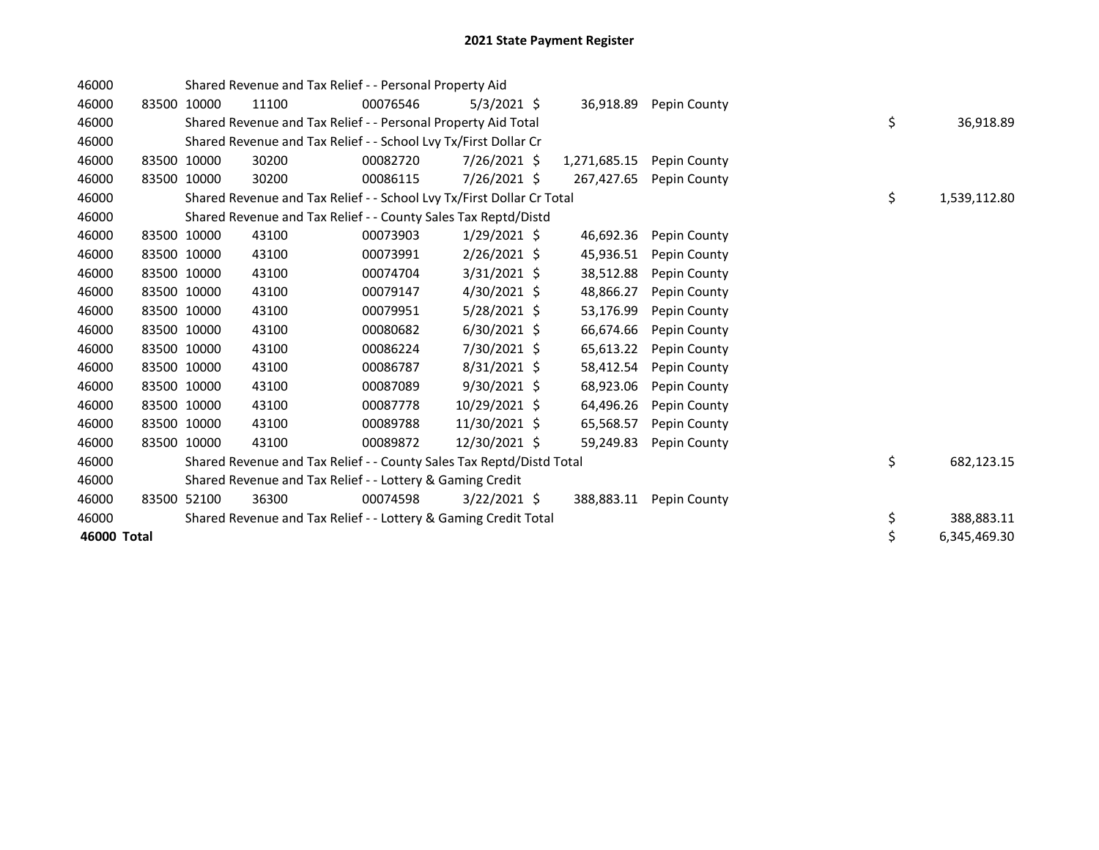| 46000       |             |             | Shared Revenue and Tax Relief - - Personal Property Aid               |          |                |              |              |    |              |
|-------------|-------------|-------------|-----------------------------------------------------------------------|----------|----------------|--------------|--------------|----|--------------|
| 46000       | 83500       | 10000       | 11100                                                                 | 00076546 | $5/3/2021$ \$  | 36,918.89    | Pepin County |    |              |
| 46000       |             |             | Shared Revenue and Tax Relief - - Personal Property Aid Total         |          |                |              |              | \$ | 36,918.89    |
| 46000       |             |             | Shared Revenue and Tax Relief - - School Lvy Tx/First Dollar Cr       |          |                |              |              |    |              |
| 46000       |             | 83500 10000 | 30200                                                                 | 00082720 | $7/26/2021$ \$ | 1,271,685.15 | Pepin County |    |              |
| 46000       | 83500       | 10000       | 30200                                                                 | 00086115 | 7/26/2021 \$   | 267,427.65   | Pepin County |    |              |
| 46000       |             |             | Shared Revenue and Tax Relief - - School Lvy Tx/First Dollar Cr Total |          |                |              |              | \$ | 1,539,112.80 |
| 46000       |             |             | Shared Revenue and Tax Relief - - County Sales Tax Reptd/Distd        |          |                |              |              |    |              |
| 46000       |             | 83500 10000 | 43100                                                                 | 00073903 | $1/29/2021$ \$ | 46,692.36    | Pepin County |    |              |
| 46000       | 83500 10000 |             | 43100                                                                 | 00073991 | $2/26/2021$ \$ | 45,936.51    | Pepin County |    |              |
| 46000       | 83500 10000 |             | 43100                                                                 | 00074704 | $3/31/2021$ \$ | 38,512.88    | Pepin County |    |              |
| 46000       | 83500 10000 |             | 43100                                                                 | 00079147 | 4/30/2021 \$   | 48,866.27    | Pepin County |    |              |
| 46000       |             | 83500 10000 | 43100                                                                 | 00079951 | $5/28/2021$ \$ | 53,176.99    | Pepin County |    |              |
| 46000       | 83500 10000 |             | 43100                                                                 | 00080682 | $6/30/2021$ \$ | 66,674.66    | Pepin County |    |              |
| 46000       | 83500 10000 |             | 43100                                                                 | 00086224 | 7/30/2021 \$   | 65,613.22    | Pepin County |    |              |
| 46000       |             | 83500 10000 | 43100                                                                 | 00086787 | 8/31/2021 \$   | 58,412.54    | Pepin County |    |              |
| 46000       |             | 83500 10000 | 43100                                                                 | 00087089 | $9/30/2021$ \$ | 68,923.06    | Pepin County |    |              |
| 46000       |             | 83500 10000 | 43100                                                                 | 00087778 | 10/29/2021 \$  | 64,496.26    | Pepin County |    |              |
| 46000       |             | 83500 10000 | 43100                                                                 | 00089788 | 11/30/2021 \$  | 65,568.57    | Pepin County |    |              |
| 46000       |             | 83500 10000 | 43100                                                                 | 00089872 | 12/30/2021 \$  | 59,249.83    | Pepin County |    |              |
| 46000       |             |             | Shared Revenue and Tax Relief - - County Sales Tax Reptd/Distd Total  |          |                |              |              | \$ | 682,123.15   |
| 46000       |             |             | Shared Revenue and Tax Relief - - Lottery & Gaming Credit             |          |                |              |              |    |              |
| 46000       |             | 83500 52100 | 36300                                                                 | 00074598 | $3/22/2021$ \$ | 388,883.11   | Pepin County |    |              |
| 46000       |             |             | Shared Revenue and Tax Relief - - Lottery & Gaming Credit Total       |          |                |              |              | \$ | 388,883.11   |
| 46000 Total |             |             |                                                                       |          |                |              |              | \$ | 6,345,469.30 |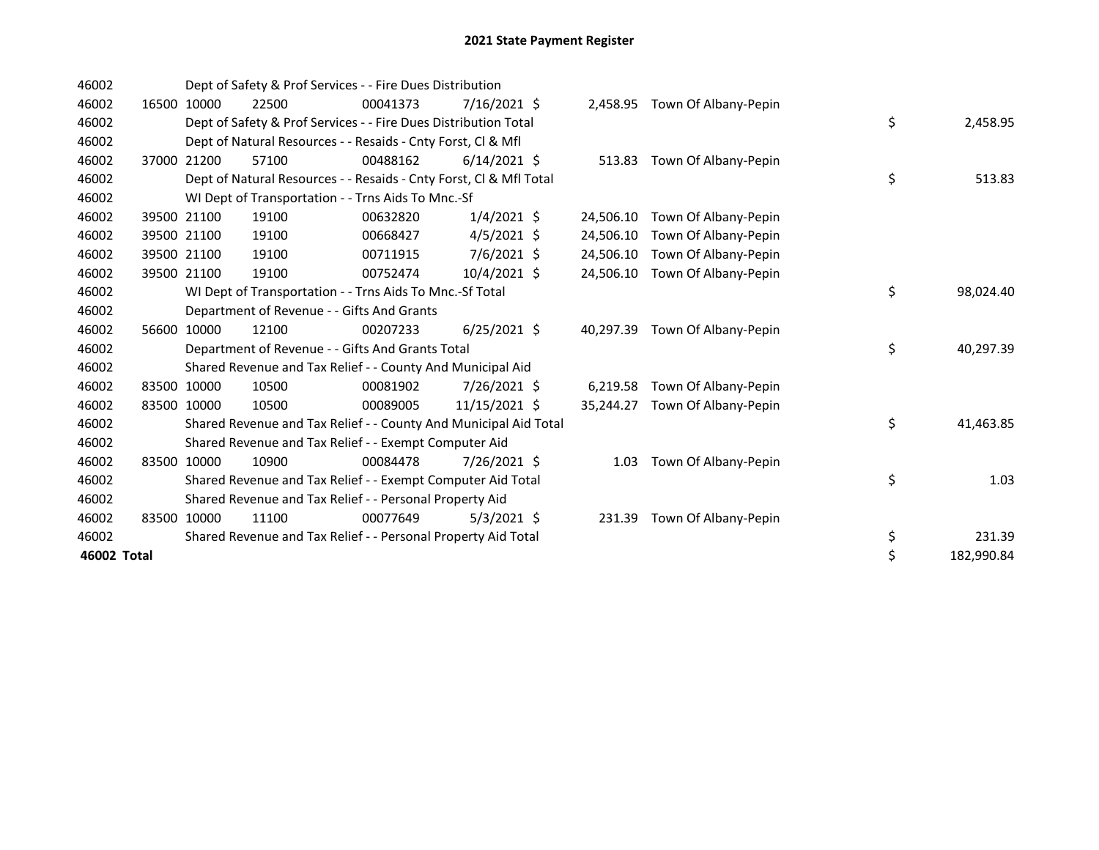| 46002       |       |             | Dept of Safety & Prof Services - - Fire Dues Distribution          |          |                |           |                             |    |            |
|-------------|-------|-------------|--------------------------------------------------------------------|----------|----------------|-----------|-----------------------------|----|------------|
| 46002       | 16500 | 10000       | 22500                                                              | 00041373 | $7/16/2021$ \$ | 2,458.95  | Town Of Albany-Pepin        |    |            |
| 46002       |       |             | Dept of Safety & Prof Services - - Fire Dues Distribution Total    |          |                |           |                             | \$ | 2,458.95   |
| 46002       |       |             | Dept of Natural Resources - - Resaids - Cnty Forst, CI & Mfl       |          |                |           |                             |    |            |
| 46002       |       | 37000 21200 | 57100                                                              | 00488162 | $6/14/2021$ \$ |           | 513.83 Town Of Albany-Pepin |    |            |
| 46002       |       |             | Dept of Natural Resources - - Resaids - Cnty Forst, Cl & Mfl Total |          |                |           |                             | \$ | 513.83     |
| 46002       |       |             | WI Dept of Transportation - - Trns Aids To Mnc.-Sf                 |          |                |           |                             |    |            |
| 46002       | 39500 | 21100       | 19100                                                              | 00632820 | $1/4/2021$ \$  | 24,506.10 | Town Of Albany-Pepin        |    |            |
| 46002       | 39500 | 21100       | 19100                                                              | 00668427 | $4/5/2021$ \$  | 24.506.10 | Town Of Albany-Pepin        |    |            |
| 46002       |       | 39500 21100 | 19100                                                              | 00711915 | $7/6/2021$ \$  | 24,506.10 | Town Of Albany-Pepin        |    |            |
| 46002       |       | 39500 21100 | 19100                                                              | 00752474 | 10/4/2021 \$   | 24,506.10 | Town Of Albany-Pepin        |    |            |
| 46002       |       |             | WI Dept of Transportation - - Trns Aids To Mnc.-Sf Total           |          |                |           |                             | \$ | 98,024.40  |
| 46002       |       |             | Department of Revenue - - Gifts And Grants                         |          |                |           |                             |    |            |
| 46002       |       | 56600 10000 | 12100                                                              | 00207233 | $6/25/2021$ \$ | 40,297.39 | Town Of Albany-Pepin        |    |            |
| 46002       |       |             | Department of Revenue - - Gifts And Grants Total                   |          |                |           |                             | \$ | 40,297.39  |
| 46002       |       |             | Shared Revenue and Tax Relief - - County And Municipal Aid         |          |                |           |                             |    |            |
| 46002       | 83500 | 10000       | 10500                                                              | 00081902 | 7/26/2021 \$   | 6,219.58  | Town Of Albany-Pepin        |    |            |
| 46002       | 83500 | 10000       | 10500                                                              | 00089005 | 11/15/2021 \$  | 35,244.27 | Town Of Albany-Pepin        |    |            |
| 46002       |       |             | Shared Revenue and Tax Relief - - County And Municipal Aid Total   |          |                |           |                             | \$ | 41,463.85  |
| 46002       |       |             | Shared Revenue and Tax Relief - - Exempt Computer Aid              |          |                |           |                             |    |            |
| 46002       |       | 83500 10000 | 10900                                                              | 00084478 | 7/26/2021 \$   | 1.03      | Town Of Albany-Pepin        |    |            |
| 46002       |       |             | Shared Revenue and Tax Relief - - Exempt Computer Aid Total        |          |                |           |                             | \$ | 1.03       |
| 46002       |       |             | Shared Revenue and Tax Relief - - Personal Property Aid            |          |                |           |                             |    |            |
| 46002       |       | 83500 10000 | 11100                                                              | 00077649 | $5/3/2021$ \$  | 231.39    | Town Of Albany-Pepin        |    |            |
| 46002       |       |             | Shared Revenue and Tax Relief - - Personal Property Aid Total      |          |                |           |                             | \$ | 231.39     |
| 46002 Total |       |             |                                                                    |          |                |           |                             | \$ | 182,990.84 |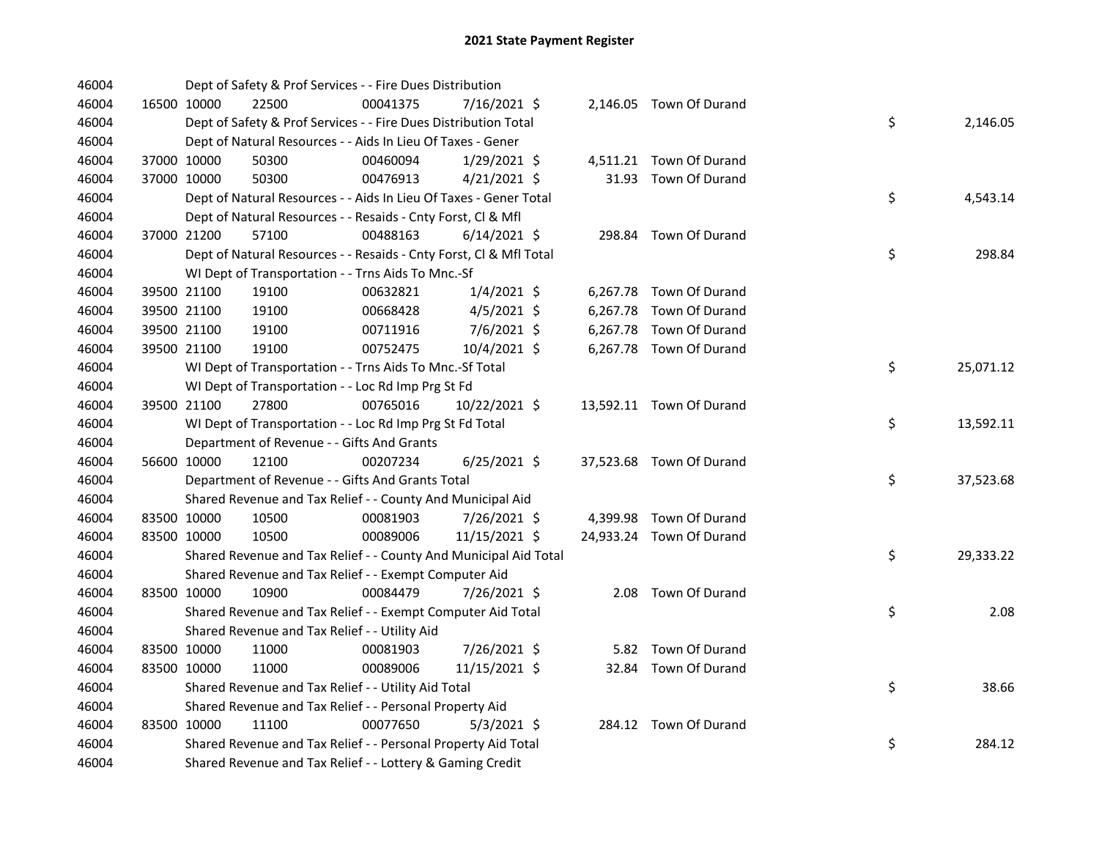| 46004 |             |             | Dept of Safety & Prof Services - - Fire Dues Distribution          |          |                |  |                          |    |           |
|-------|-------------|-------------|--------------------------------------------------------------------|----------|----------------|--|--------------------------|----|-----------|
| 46004 |             | 16500 10000 | 22500                                                              | 00041375 | 7/16/2021 \$   |  | 2,146.05 Town Of Durand  |    |           |
| 46004 |             |             | Dept of Safety & Prof Services - - Fire Dues Distribution Total    |          |                |  |                          | \$ | 2,146.05  |
| 46004 |             |             | Dept of Natural Resources - - Aids In Lieu Of Taxes - Gener        |          |                |  |                          |    |           |
| 46004 |             | 37000 10000 | 50300                                                              | 00460094 | 1/29/2021 \$   |  | 4,511.21 Town Of Durand  |    |           |
| 46004 | 37000 10000 |             | 50300                                                              | 00476913 | $4/21/2021$ \$ |  | 31.93 Town Of Durand     |    |           |
| 46004 |             |             | Dept of Natural Resources - - Aids In Lieu Of Taxes - Gener Total  |          |                |  |                          | \$ | 4,543.14  |
| 46004 |             |             | Dept of Natural Resources - - Resaids - Cnty Forst, Cl & Mfl       |          |                |  |                          |    |           |
| 46004 | 37000 21200 |             | 57100                                                              | 00488163 | $6/14/2021$ \$ |  | 298.84 Town Of Durand    |    |           |
| 46004 |             |             | Dept of Natural Resources - - Resaids - Cnty Forst, CI & Mfl Total |          |                |  |                          | \$ | 298.84    |
| 46004 |             |             | WI Dept of Transportation - - Trns Aids To Mnc.-Sf                 |          |                |  |                          |    |           |
| 46004 |             | 39500 21100 | 19100                                                              | 00632821 | $1/4/2021$ \$  |  | 6,267.78 Town Of Durand  |    |           |
| 46004 |             | 39500 21100 | 19100                                                              | 00668428 | $4/5/2021$ \$  |  | 6,267.78 Town Of Durand  |    |           |
| 46004 |             | 39500 21100 | 19100                                                              | 00711916 | 7/6/2021 \$    |  | 6,267.78 Town Of Durand  |    |           |
| 46004 |             | 39500 21100 | 19100                                                              | 00752475 | 10/4/2021 \$   |  | 6,267.78 Town Of Durand  |    |           |
| 46004 |             |             | WI Dept of Transportation - - Trns Aids To Mnc.-Sf Total           |          |                |  |                          | \$ | 25,071.12 |
| 46004 |             |             | WI Dept of Transportation - - Loc Rd Imp Prg St Fd                 |          |                |  |                          |    |           |
| 46004 | 39500 21100 |             | 27800                                                              | 00765016 | 10/22/2021 \$  |  | 13,592.11 Town Of Durand |    |           |
| 46004 |             |             | WI Dept of Transportation - - Loc Rd Imp Prg St Fd Total           |          |                |  |                          | \$ | 13,592.11 |
| 46004 |             |             | Department of Revenue - - Gifts And Grants                         |          |                |  |                          |    |           |
| 46004 |             | 56600 10000 | 12100                                                              | 00207234 | $6/25/2021$ \$ |  | 37,523.68 Town Of Durand |    |           |
| 46004 |             |             | Department of Revenue - - Gifts And Grants Total                   |          |                |  |                          | \$ | 37,523.68 |
| 46004 |             |             | Shared Revenue and Tax Relief - - County And Municipal Aid         |          |                |  |                          |    |           |
| 46004 |             | 83500 10000 | 10500                                                              | 00081903 | 7/26/2021 \$   |  | 4,399.98 Town Of Durand  |    |           |
| 46004 |             | 83500 10000 | 10500                                                              | 00089006 | 11/15/2021 \$  |  | 24,933.24 Town Of Durand |    |           |
| 46004 |             |             | Shared Revenue and Tax Relief - - County And Municipal Aid Total   |          |                |  |                          | \$ | 29,333.22 |
| 46004 |             |             | Shared Revenue and Tax Relief - - Exempt Computer Aid              |          |                |  |                          |    |           |
| 46004 |             | 83500 10000 | 10900                                                              | 00084479 | 7/26/2021 \$   |  | 2.08 Town Of Durand      |    |           |
| 46004 |             |             | Shared Revenue and Tax Relief - - Exempt Computer Aid Total        |          |                |  |                          | \$ | 2.08      |
| 46004 |             |             | Shared Revenue and Tax Relief - - Utility Aid                      |          |                |  |                          |    |           |
| 46004 |             | 83500 10000 | 11000                                                              | 00081903 | 7/26/2021 \$   |  | 5.82 Town Of Durand      |    |           |
| 46004 |             | 83500 10000 | 11000                                                              | 00089006 | 11/15/2021 \$  |  | 32.84 Town Of Durand     |    |           |
| 46004 |             |             | Shared Revenue and Tax Relief - - Utility Aid Total                |          |                |  |                          | \$ | 38.66     |
| 46004 |             |             | Shared Revenue and Tax Relief - - Personal Property Aid            |          |                |  |                          |    |           |
| 46004 |             | 83500 10000 | 11100                                                              | 00077650 | $5/3/2021$ \$  |  | 284.12 Town Of Durand    |    |           |
| 46004 |             |             | Shared Revenue and Tax Relief - - Personal Property Aid Total      |          |                |  |                          | \$ | 284.12    |
| 46004 |             |             | Shared Revenue and Tax Relief - - Lottery & Gaming Credit          |          |                |  |                          |    |           |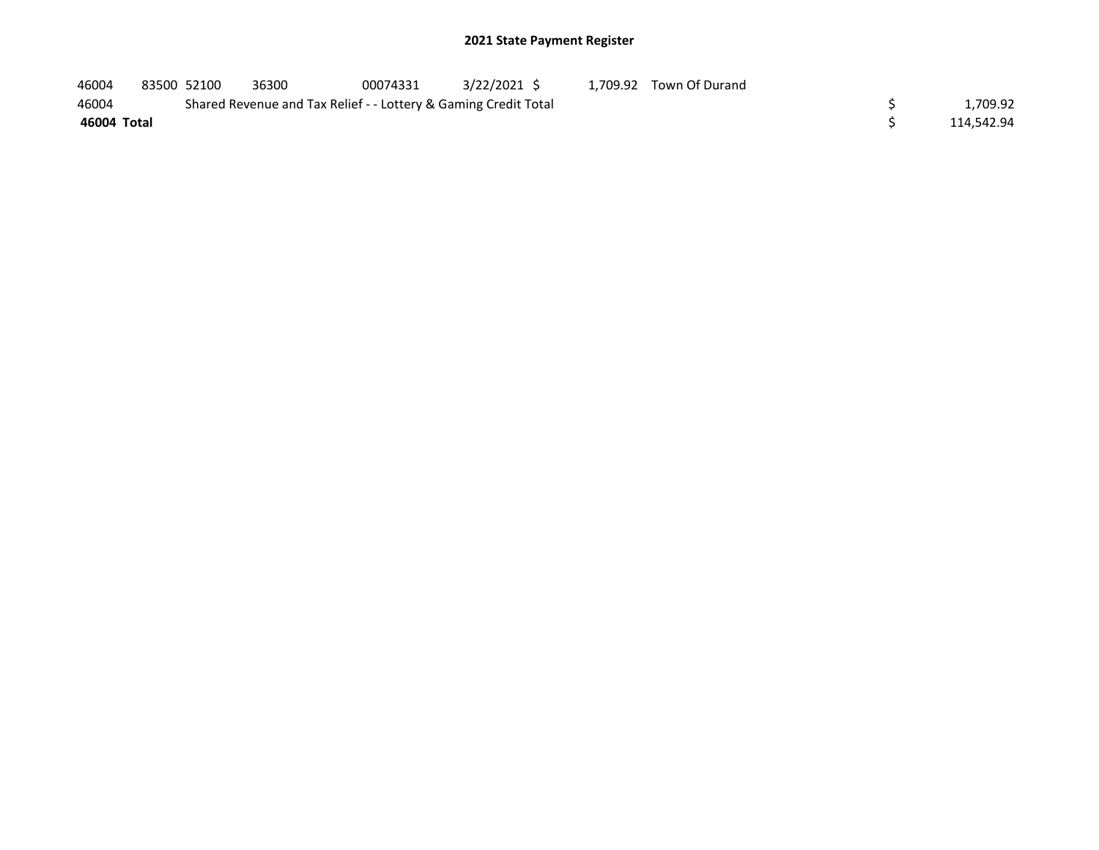| 46004       | 83500 52100 | 36300                                                           | 00074331 | 3/22/2021 S | 1,709.92 Town Of Durand |            |
|-------------|-------------|-----------------------------------------------------------------|----------|-------------|-------------------------|------------|
| 46004       |             | Shared Revenue and Tax Relief - - Lottery & Gaming Credit Total |          |             |                         | 1,709.92   |
| 46004 Total |             |                                                                 |          |             |                         | 114.542.94 |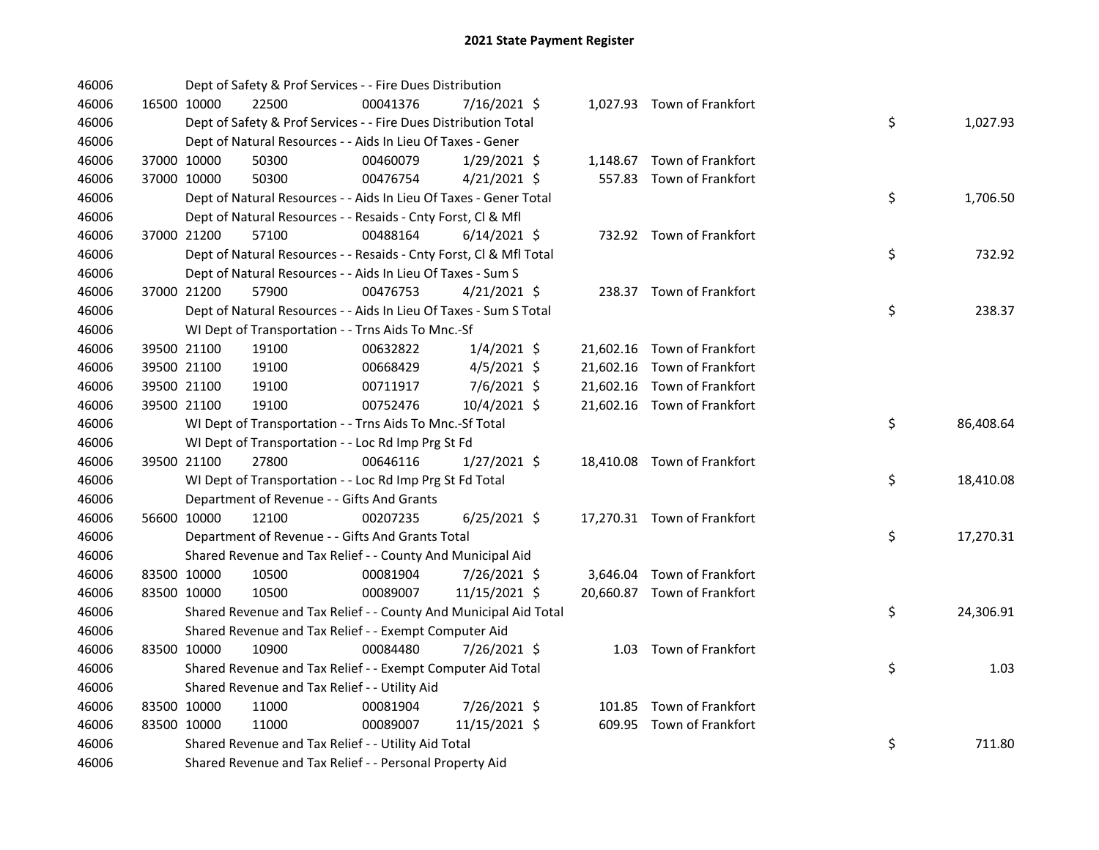| 46006 |             | Dept of Safety & Prof Services - - Fire Dues Distribution          |          |                |  |                             |    |           |
|-------|-------------|--------------------------------------------------------------------|----------|----------------|--|-----------------------------|----|-----------|
| 46006 | 16500 10000 | 22500                                                              | 00041376 | 7/16/2021 \$   |  | 1,027.93 Town of Frankfort  |    |           |
| 46006 |             | Dept of Safety & Prof Services - - Fire Dues Distribution Total    |          |                |  |                             | \$ | 1,027.93  |
| 46006 |             | Dept of Natural Resources - - Aids In Lieu Of Taxes - Gener        |          |                |  |                             |    |           |
| 46006 | 37000 10000 | 50300                                                              | 00460079 | $1/29/2021$ \$ |  | 1,148.67 Town of Frankfort  |    |           |
| 46006 | 37000 10000 | 50300                                                              | 00476754 | $4/21/2021$ \$ |  | 557.83 Town of Frankfort    |    |           |
| 46006 |             | Dept of Natural Resources - - Aids In Lieu Of Taxes - Gener Total  |          |                |  |                             | \$ | 1,706.50  |
| 46006 |             | Dept of Natural Resources - - Resaids - Cnty Forst, Cl & Mfl       |          |                |  |                             |    |           |
| 46006 | 37000 21200 | 57100                                                              | 00488164 | $6/14/2021$ \$ |  | 732.92 Town of Frankfort    |    |           |
| 46006 |             | Dept of Natural Resources - - Resaids - Cnty Forst, Cl & Mfl Total |          |                |  |                             | \$ | 732.92    |
| 46006 |             | Dept of Natural Resources - - Aids In Lieu Of Taxes - Sum S        |          |                |  |                             |    |           |
| 46006 | 37000 21200 | 57900                                                              | 00476753 | $4/21/2021$ \$ |  | 238.37 Town of Frankfort    |    |           |
| 46006 |             | Dept of Natural Resources - - Aids In Lieu Of Taxes - Sum S Total  |          |                |  |                             | \$ | 238.37    |
| 46006 |             | WI Dept of Transportation - - Trns Aids To Mnc.-Sf                 |          |                |  |                             |    |           |
| 46006 | 39500 21100 | 19100                                                              | 00632822 | $1/4/2021$ \$  |  | 21,602.16 Town of Frankfort |    |           |
| 46006 | 39500 21100 | 19100                                                              | 00668429 | 4/5/2021 \$    |  | 21,602.16 Town of Frankfort |    |           |
| 46006 | 39500 21100 | 19100                                                              | 00711917 | 7/6/2021 \$    |  | 21,602.16 Town of Frankfort |    |           |
| 46006 | 39500 21100 | 19100                                                              | 00752476 | 10/4/2021 \$   |  | 21,602.16 Town of Frankfort |    |           |
| 46006 |             | WI Dept of Transportation - - Trns Aids To Mnc.-Sf Total           |          |                |  |                             | \$ | 86,408.64 |
| 46006 |             | WI Dept of Transportation - - Loc Rd Imp Prg St Fd                 |          |                |  |                             |    |           |
| 46006 | 39500 21100 | 27800                                                              | 00646116 | $1/27/2021$ \$ |  | 18,410.08 Town of Frankfort |    |           |
| 46006 |             | WI Dept of Transportation - - Loc Rd Imp Prg St Fd Total           |          |                |  |                             | \$ | 18,410.08 |
| 46006 |             | Department of Revenue - - Gifts And Grants                         |          |                |  |                             |    |           |
| 46006 | 56600 10000 | 12100                                                              | 00207235 | $6/25/2021$ \$ |  | 17,270.31 Town of Frankfort |    |           |
| 46006 |             | Department of Revenue - - Gifts And Grants Total                   |          |                |  |                             | \$ | 17,270.31 |
| 46006 |             | Shared Revenue and Tax Relief - - County And Municipal Aid         |          |                |  |                             |    |           |
| 46006 | 83500 10000 | 10500                                                              | 00081904 | 7/26/2021 \$   |  | 3,646.04 Town of Frankfort  |    |           |
| 46006 | 83500 10000 | 10500                                                              | 00089007 | 11/15/2021 \$  |  | 20,660.87 Town of Frankfort |    |           |
| 46006 |             | Shared Revenue and Tax Relief - - County And Municipal Aid Total   |          |                |  |                             | \$ | 24,306.91 |
| 46006 |             | Shared Revenue and Tax Relief - - Exempt Computer Aid              |          |                |  |                             |    |           |
| 46006 | 83500 10000 | 10900                                                              | 00084480 | 7/26/2021 \$   |  | 1.03 Town of Frankfort      |    |           |
| 46006 |             | Shared Revenue and Tax Relief - - Exempt Computer Aid Total        |          |                |  |                             | \$ | 1.03      |
| 46006 |             | Shared Revenue and Tax Relief - - Utility Aid                      |          |                |  |                             |    |           |
| 46006 | 83500 10000 | 11000                                                              | 00081904 | 7/26/2021 \$   |  | 101.85 Town of Frankfort    |    |           |
| 46006 | 83500 10000 | 11000                                                              | 00089007 | 11/15/2021 \$  |  | 609.95 Town of Frankfort    |    |           |
| 46006 |             | Shared Revenue and Tax Relief - - Utility Aid Total                |          |                |  |                             | \$ | 711.80    |
| 46006 |             | Shared Revenue and Tax Relief - - Personal Property Aid            |          |                |  |                             |    |           |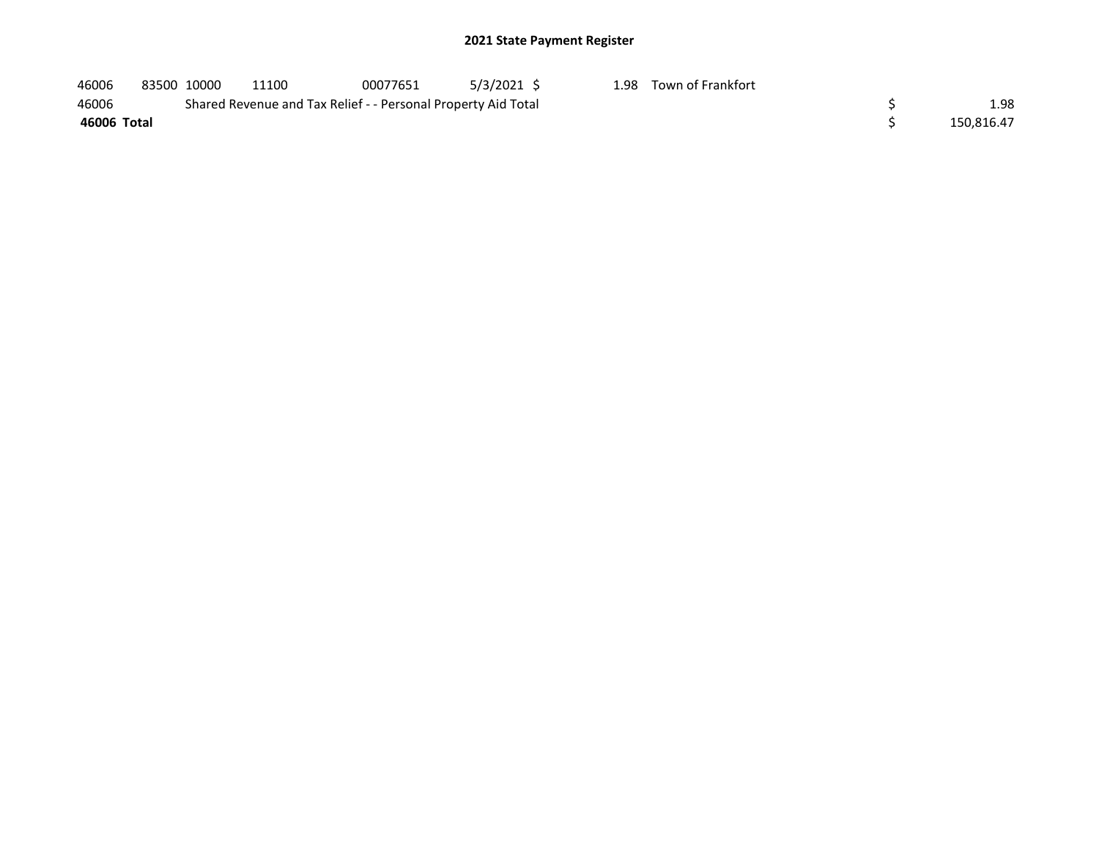| 46006       |  | 83500 10000 | 11100                                                         | 00077651 | 5/3/2021 \$ |  | 1.98 Town of Frankfort |  |            |
|-------------|--|-------------|---------------------------------------------------------------|----------|-------------|--|------------------------|--|------------|
| 46006       |  |             | Shared Revenue and Tax Relief - - Personal Property Aid Total |          |             |  |                        |  | 1.98       |
| 46006 Total |  |             |                                                               |          |             |  |                        |  | 150.816.47 |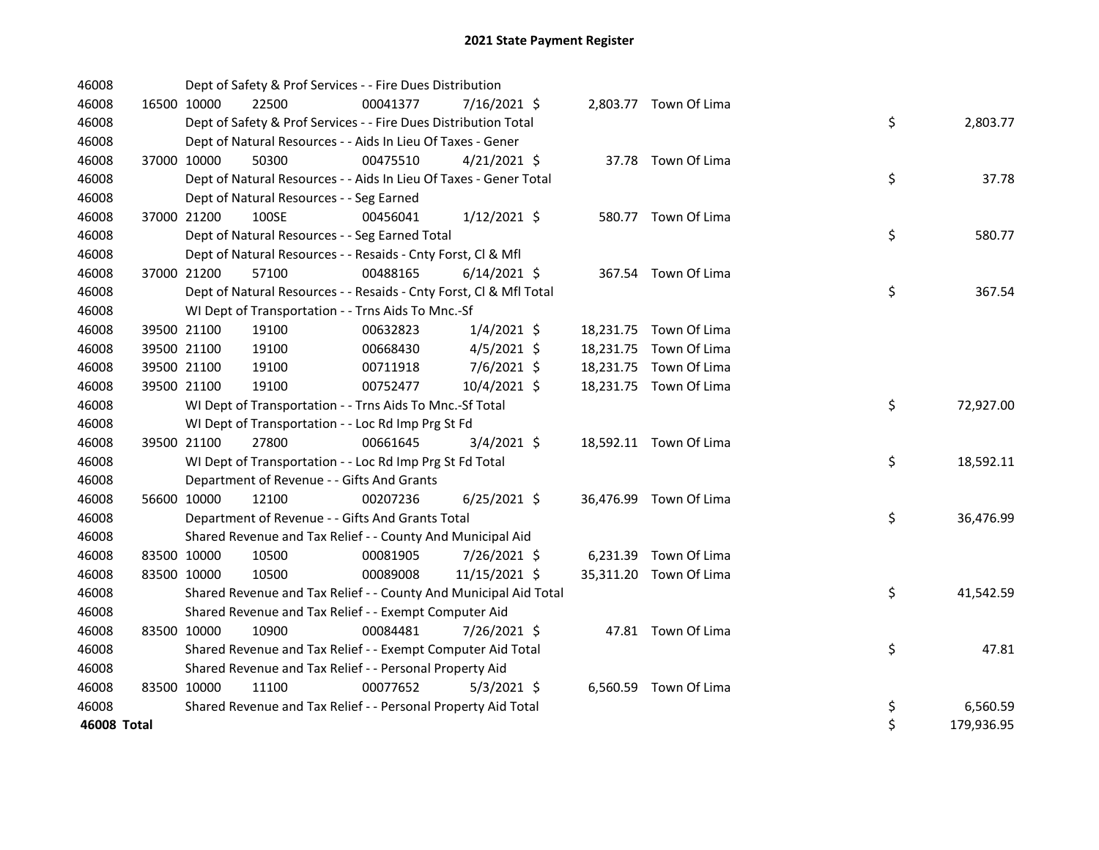| 46008              |             |             | Dept of Safety & Prof Services - - Fire Dues Distribution          |          |                |  |                        |    |            |
|--------------------|-------------|-------------|--------------------------------------------------------------------|----------|----------------|--|------------------------|----|------------|
| 46008              | 16500 10000 |             | 22500                                                              | 00041377 | 7/16/2021 \$   |  | 2,803.77 Town Of Lima  |    |            |
| 46008              |             |             | Dept of Safety & Prof Services - - Fire Dues Distribution Total    |          |                |  |                        | \$ | 2,803.77   |
| 46008              |             |             | Dept of Natural Resources - - Aids In Lieu Of Taxes - Gener        |          |                |  |                        |    |            |
| 46008              |             | 37000 10000 | 50300                                                              | 00475510 | $4/21/2021$ \$ |  | 37.78 Town Of Lima     |    |            |
| 46008              |             |             | Dept of Natural Resources - - Aids In Lieu Of Taxes - Gener Total  |          |                |  |                        | \$ | 37.78      |
| 46008              |             |             | Dept of Natural Resources - - Seg Earned                           |          |                |  |                        |    |            |
| 46008              |             | 37000 21200 | 100SE                                                              | 00456041 | $1/12/2021$ \$ |  | 580.77 Town Of Lima    |    |            |
| 46008              |             |             | Dept of Natural Resources - - Seg Earned Total                     |          |                |  |                        | \$ | 580.77     |
| 46008              |             |             | Dept of Natural Resources - - Resaids - Cnty Forst, Cl & Mfl       |          |                |  |                        |    |            |
| 46008              |             | 37000 21200 | 57100                                                              | 00488165 | $6/14/2021$ \$ |  | 367.54 Town Of Lima    |    |            |
| 46008              |             |             | Dept of Natural Resources - - Resaids - Cnty Forst, Cl & Mfl Total |          |                |  |                        | \$ | 367.54     |
| 46008              |             |             | WI Dept of Transportation - - Trns Aids To Mnc.-Sf                 |          |                |  |                        |    |            |
| 46008              |             | 39500 21100 | 19100                                                              | 00632823 | $1/4/2021$ \$  |  | 18,231.75 Town Of Lima |    |            |
| 46008              |             | 39500 21100 | 19100                                                              | 00668430 | $4/5/2021$ \$  |  | 18,231.75 Town Of Lima |    |            |
| 46008              |             | 39500 21100 | 19100                                                              | 00711918 | 7/6/2021 \$    |  | 18,231.75 Town Of Lima |    |            |
| 46008              |             | 39500 21100 | 19100                                                              | 00752477 | 10/4/2021 \$   |  | 18,231.75 Town Of Lima |    |            |
| 46008              |             |             | WI Dept of Transportation - - Trns Aids To Mnc.-Sf Total           |          |                |  |                        | \$ | 72,927.00  |
| 46008              |             |             | WI Dept of Transportation - - Loc Rd Imp Prg St Fd                 |          |                |  |                        |    |            |
| 46008              |             | 39500 21100 | 27800                                                              | 00661645 | $3/4/2021$ \$  |  | 18,592.11 Town Of Lima |    |            |
| 46008              |             |             | WI Dept of Transportation - - Loc Rd Imp Prg St Fd Total           |          |                |  |                        | \$ | 18,592.11  |
| 46008              |             |             | Department of Revenue - - Gifts And Grants                         |          |                |  |                        |    |            |
| 46008              | 56600 10000 |             | 12100                                                              | 00207236 | $6/25/2021$ \$ |  | 36,476.99 Town Of Lima |    |            |
| 46008              |             |             | Department of Revenue - - Gifts And Grants Total                   |          |                |  |                        | \$ | 36,476.99  |
| 46008              |             |             | Shared Revenue and Tax Relief - - County And Municipal Aid         |          |                |  |                        |    |            |
| 46008              |             | 83500 10000 | 10500                                                              | 00081905 | 7/26/2021 \$   |  | 6,231.39 Town Of Lima  |    |            |
| 46008              |             | 83500 10000 | 10500                                                              | 00089008 | 11/15/2021 \$  |  | 35,311.20 Town Of Lima |    |            |
| 46008              |             |             | Shared Revenue and Tax Relief - - County And Municipal Aid Total   |          |                |  |                        | \$ | 41,542.59  |
| 46008              |             |             | Shared Revenue and Tax Relief - - Exempt Computer Aid              |          |                |  |                        |    |            |
| 46008              | 83500 10000 |             | 10900                                                              | 00084481 | 7/26/2021 \$   |  | 47.81 Town Of Lima     |    |            |
| 46008              |             |             | Shared Revenue and Tax Relief - - Exempt Computer Aid Total        |          |                |  |                        | \$ | 47.81      |
| 46008              |             |             | Shared Revenue and Tax Relief - - Personal Property Aid            |          |                |  |                        |    |            |
| 46008              | 83500 10000 |             | 11100                                                              | 00077652 | $5/3/2021$ \$  |  | 6,560.59 Town Of Lima  |    |            |
| 46008              |             |             | Shared Revenue and Tax Relief - - Personal Property Aid Total      |          |                |  |                        | \$ | 6,560.59   |
| <b>46008 Total</b> |             |             |                                                                    |          |                |  |                        | \$ | 179,936.95 |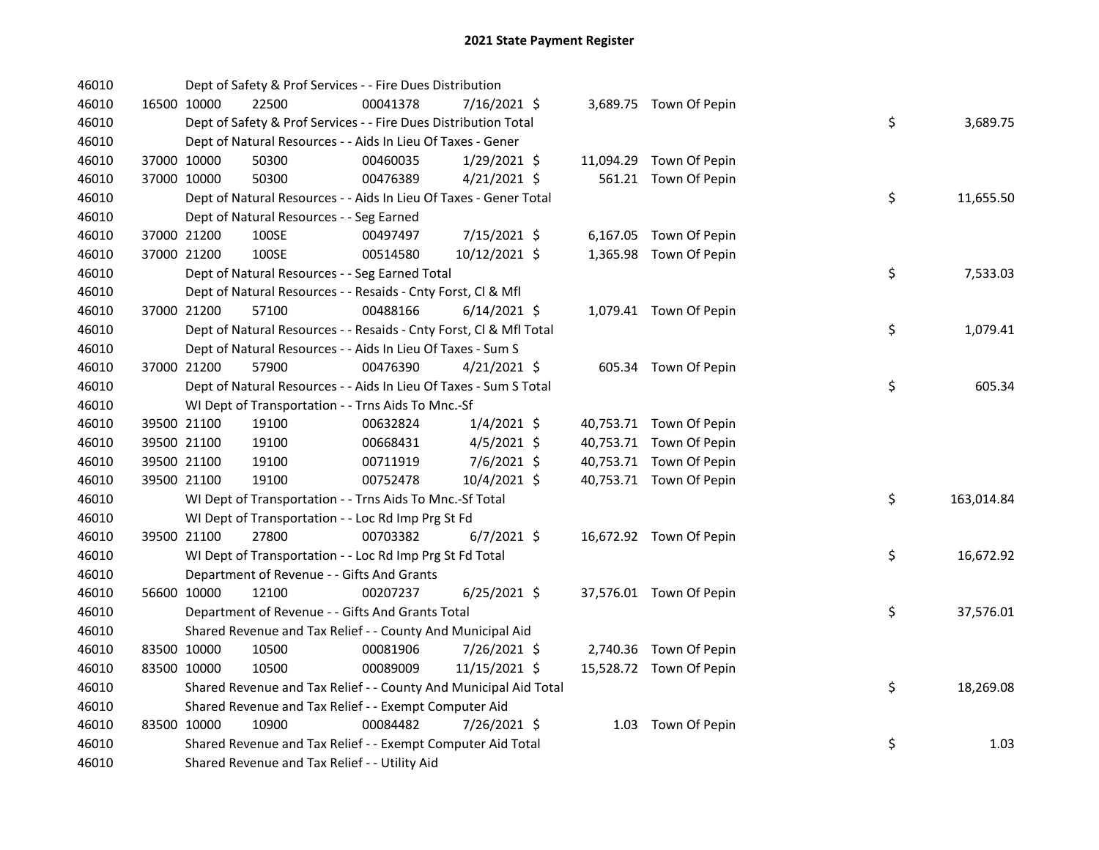| 46010 |             | Dept of Safety & Prof Services - - Fire Dues Distribution          |          |                |  |                         |    |            |
|-------|-------------|--------------------------------------------------------------------|----------|----------------|--|-------------------------|----|------------|
| 46010 | 16500 10000 | 22500                                                              | 00041378 | 7/16/2021 \$   |  | 3,689.75 Town Of Pepin  |    |            |
| 46010 |             | Dept of Safety & Prof Services - - Fire Dues Distribution Total    |          |                |  |                         | \$ | 3,689.75   |
| 46010 |             | Dept of Natural Resources - - Aids In Lieu Of Taxes - Gener        |          |                |  |                         |    |            |
| 46010 | 37000 10000 | 50300                                                              | 00460035 | 1/29/2021 \$   |  | 11,094.29 Town Of Pepin |    |            |
| 46010 | 37000 10000 | 50300                                                              | 00476389 | $4/21/2021$ \$ |  | 561.21 Town Of Pepin    |    |            |
| 46010 |             | Dept of Natural Resources - - Aids In Lieu Of Taxes - Gener Total  |          |                |  |                         | \$ | 11,655.50  |
| 46010 |             | Dept of Natural Resources - - Seg Earned                           |          |                |  |                         |    |            |
| 46010 | 37000 21200 | 100SE                                                              | 00497497 | 7/15/2021 \$   |  | 6,167.05 Town Of Pepin  |    |            |
| 46010 | 37000 21200 | 100SE                                                              | 00514580 | 10/12/2021 \$  |  | 1,365.98 Town Of Pepin  |    |            |
| 46010 |             | Dept of Natural Resources - - Seg Earned Total                     |          |                |  |                         | \$ | 7,533.03   |
| 46010 |             | Dept of Natural Resources - - Resaids - Cnty Forst, Cl & Mfl       |          |                |  |                         |    |            |
| 46010 | 37000 21200 | 57100                                                              | 00488166 | $6/14/2021$ \$ |  | 1,079.41 Town Of Pepin  |    |            |
| 46010 |             | Dept of Natural Resources - - Resaids - Cnty Forst, CI & Mfl Total |          |                |  |                         | \$ | 1,079.41   |
| 46010 |             | Dept of Natural Resources - - Aids In Lieu Of Taxes - Sum S        |          |                |  |                         |    |            |
| 46010 | 37000 21200 | 57900                                                              | 00476390 | 4/21/2021 \$   |  | 605.34 Town Of Pepin    |    |            |
| 46010 |             | Dept of Natural Resources - - Aids In Lieu Of Taxes - Sum S Total  |          |                |  |                         | \$ | 605.34     |
| 46010 |             | WI Dept of Transportation - - Trns Aids To Mnc.-Sf                 |          |                |  |                         |    |            |
| 46010 | 39500 21100 | 19100                                                              | 00632824 | $1/4/2021$ \$  |  | 40,753.71 Town Of Pepin |    |            |
| 46010 | 39500 21100 | 19100                                                              | 00668431 | 4/5/2021 \$    |  | 40,753.71 Town Of Pepin |    |            |
| 46010 | 39500 21100 | 19100                                                              | 00711919 | 7/6/2021 \$    |  | 40,753.71 Town Of Pepin |    |            |
| 46010 | 39500 21100 | 19100                                                              | 00752478 | 10/4/2021 \$   |  | 40,753.71 Town Of Pepin |    |            |
| 46010 |             | WI Dept of Transportation - - Trns Aids To Mnc.-Sf Total           |          |                |  |                         | \$ | 163,014.84 |
| 46010 |             | WI Dept of Transportation - - Loc Rd Imp Prg St Fd                 |          |                |  |                         |    |            |
| 46010 | 39500 21100 | 27800                                                              | 00703382 | $6/7/2021$ \$  |  | 16,672.92 Town Of Pepin |    |            |
| 46010 |             | WI Dept of Transportation - - Loc Rd Imp Prg St Fd Total           |          |                |  |                         | \$ | 16,672.92  |
| 46010 |             | Department of Revenue - - Gifts And Grants                         |          |                |  |                         |    |            |
| 46010 | 56600 10000 | 12100                                                              | 00207237 | $6/25/2021$ \$ |  | 37,576.01 Town Of Pepin |    |            |
| 46010 |             | Department of Revenue - - Gifts And Grants Total                   |          |                |  |                         | \$ | 37,576.01  |
| 46010 |             | Shared Revenue and Tax Relief - - County And Municipal Aid         |          |                |  |                         |    |            |
| 46010 | 83500 10000 | 10500                                                              | 00081906 | 7/26/2021 \$   |  | 2,740.36 Town Of Pepin  |    |            |
| 46010 | 83500 10000 | 10500                                                              | 00089009 | 11/15/2021 \$  |  | 15,528.72 Town Of Pepin |    |            |
| 46010 |             | Shared Revenue and Tax Relief - - County And Municipal Aid Total   |          |                |  |                         | \$ | 18,269.08  |
| 46010 |             | Shared Revenue and Tax Relief - - Exempt Computer Aid              |          |                |  |                         |    |            |
| 46010 | 83500 10000 | 10900                                                              | 00084482 | 7/26/2021 \$   |  | 1.03 Town Of Pepin      |    |            |
| 46010 |             | Shared Revenue and Tax Relief - - Exempt Computer Aid Total        |          |                |  |                         | \$ | 1.03       |
| 46010 |             | Shared Revenue and Tax Relief - - Utility Aid                      |          |                |  |                         |    |            |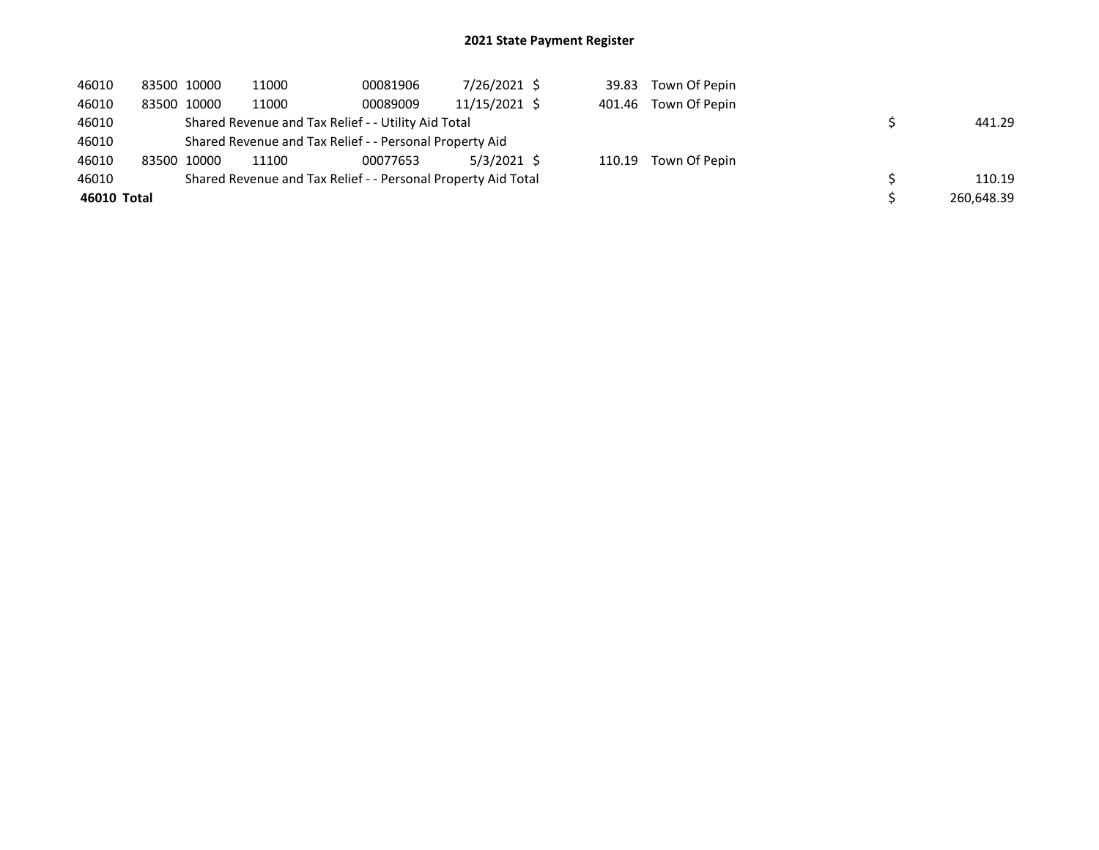| 46010       |                                                         | 83500 10000 | 11000                                                         | 00081906 | 7/26/2021 \$  |  |  | 39.83 Town Of Pepin  |  |            |  |
|-------------|---------------------------------------------------------|-------------|---------------------------------------------------------------|----------|---------------|--|--|----------------------|--|------------|--|
| 46010       |                                                         | 83500 10000 | 11000                                                         | 00089009 | 11/15/2021 \$ |  |  | 401.46 Town Of Pepin |  |            |  |
| 46010       |                                                         |             | Shared Revenue and Tax Relief - - Utility Aid Total           |          |               |  |  |                      |  | 441.29     |  |
| 46010       | Shared Revenue and Tax Relief - - Personal Property Aid |             |                                                               |          |               |  |  |                      |  |            |  |
| 46010       |                                                         | 83500 10000 | 11100                                                         | 00077653 | $5/3/2021$ \$ |  |  | 110.19 Town Of Pepin |  |            |  |
| 46010       |                                                         |             | Shared Revenue and Tax Relief - - Personal Property Aid Total |          |               |  |  |                      |  | 110.19     |  |
| 46010 Total |                                                         |             |                                                               |          |               |  |  |                      |  | 260,648.39 |  |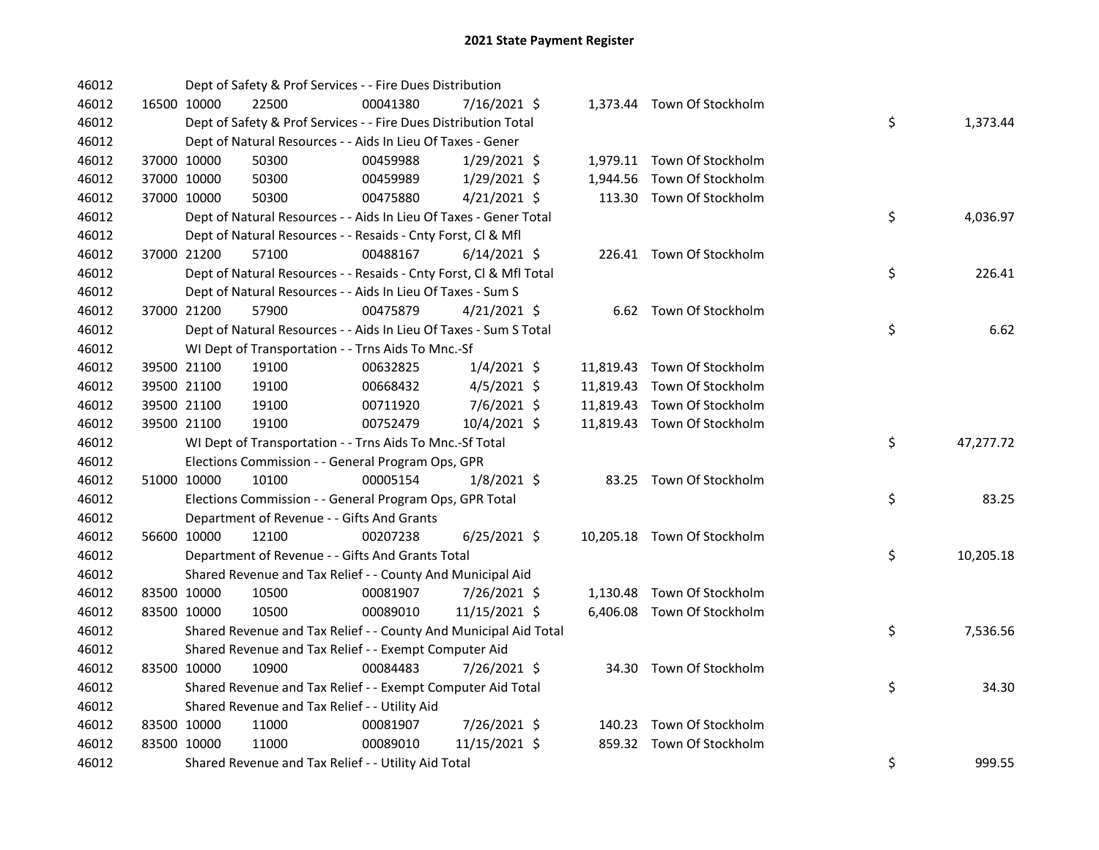| 46012 |             |             | Dept of Safety & Prof Services - - Fire Dues Distribution          |          |                |  |                             |    |           |
|-------|-------------|-------------|--------------------------------------------------------------------|----------|----------------|--|-----------------------------|----|-----------|
| 46012 |             | 16500 10000 | 22500                                                              | 00041380 | 7/16/2021 \$   |  | 1,373.44 Town Of Stockholm  |    |           |
| 46012 |             |             | Dept of Safety & Prof Services - - Fire Dues Distribution Total    |          |                |  |                             | \$ | 1,373.44  |
| 46012 |             |             | Dept of Natural Resources - - Aids In Lieu Of Taxes - Gener        |          |                |  |                             |    |           |
| 46012 |             | 37000 10000 | 50300                                                              | 00459988 | $1/29/2021$ \$ |  | 1,979.11 Town Of Stockholm  |    |           |
| 46012 | 37000 10000 |             | 50300                                                              | 00459989 | $1/29/2021$ \$ |  | 1,944.56 Town Of Stockholm  |    |           |
| 46012 |             | 37000 10000 | 50300                                                              | 00475880 | $4/21/2021$ \$ |  | 113.30 Town Of Stockholm    |    |           |
| 46012 |             |             | Dept of Natural Resources - - Aids In Lieu Of Taxes - Gener Total  |          |                |  |                             | \$ | 4,036.97  |
| 46012 |             |             | Dept of Natural Resources - - Resaids - Cnty Forst, Cl & Mfl       |          |                |  |                             |    |           |
| 46012 |             | 37000 21200 | 57100                                                              | 00488167 | $6/14/2021$ \$ |  | 226.41 Town Of Stockholm    |    |           |
| 46012 |             |             | Dept of Natural Resources - - Resaids - Cnty Forst, CI & Mfl Total |          |                |  |                             | \$ | 226.41    |
| 46012 |             |             | Dept of Natural Resources - - Aids In Lieu Of Taxes - Sum S        |          |                |  |                             |    |           |
| 46012 |             | 37000 21200 | 57900                                                              | 00475879 | $4/21/2021$ \$ |  | 6.62 Town Of Stockholm      |    |           |
| 46012 |             |             | Dept of Natural Resources - - Aids In Lieu Of Taxes - Sum S Total  |          |                |  |                             | \$ | 6.62      |
| 46012 |             |             | WI Dept of Transportation - - Trns Aids To Mnc.-Sf                 |          |                |  |                             |    |           |
| 46012 |             | 39500 21100 | 19100                                                              | 00632825 | $1/4/2021$ \$  |  | 11,819.43 Town Of Stockholm |    |           |
| 46012 |             | 39500 21100 | 19100                                                              | 00668432 | $4/5/2021$ \$  |  | 11,819.43 Town Of Stockholm |    |           |
| 46012 |             | 39500 21100 | 19100                                                              | 00711920 | $7/6/2021$ \$  |  | 11,819.43 Town Of Stockholm |    |           |
| 46012 |             | 39500 21100 | 19100                                                              | 00752479 | 10/4/2021 \$   |  | 11,819.43 Town Of Stockholm |    |           |
| 46012 |             |             | WI Dept of Transportation - - Trns Aids To Mnc.-Sf Total           |          |                |  |                             | \$ | 47,277.72 |
| 46012 |             |             | Elections Commission - - General Program Ops, GPR                  |          |                |  |                             |    |           |
| 46012 |             | 51000 10000 | 10100                                                              | 00005154 | $1/8/2021$ \$  |  | 83.25 Town Of Stockholm     |    |           |
| 46012 |             |             | Elections Commission - - General Program Ops, GPR Total            |          |                |  |                             | \$ | 83.25     |
| 46012 |             |             | Department of Revenue - - Gifts And Grants                         |          |                |  |                             |    |           |
| 46012 |             | 56600 10000 | 12100                                                              | 00207238 | $6/25/2021$ \$ |  | 10,205.18 Town Of Stockholm |    |           |
| 46012 |             |             | Department of Revenue - - Gifts And Grants Total                   |          |                |  |                             | \$ | 10,205.18 |
| 46012 |             |             | Shared Revenue and Tax Relief - - County And Municipal Aid         |          |                |  |                             |    |           |
| 46012 |             | 83500 10000 | 10500                                                              | 00081907 | 7/26/2021 \$   |  | 1,130.48 Town Of Stockholm  |    |           |
| 46012 |             | 83500 10000 | 10500                                                              | 00089010 | 11/15/2021 \$  |  | 6,406.08 Town Of Stockholm  |    |           |
| 46012 |             |             | Shared Revenue and Tax Relief - - County And Municipal Aid Total   |          |                |  |                             | \$ | 7,536.56  |
| 46012 |             |             | Shared Revenue and Tax Relief - - Exempt Computer Aid              |          |                |  |                             |    |           |
| 46012 |             | 83500 10000 | 10900                                                              | 00084483 | 7/26/2021 \$   |  | 34.30 Town Of Stockholm     |    |           |
| 46012 |             |             | Shared Revenue and Tax Relief - - Exempt Computer Aid Total        |          |                |  |                             | \$ | 34.30     |
| 46012 |             |             | Shared Revenue and Tax Relief - - Utility Aid                      |          |                |  |                             |    |           |
| 46012 |             | 83500 10000 | 11000                                                              | 00081907 | 7/26/2021 \$   |  | 140.23 Town Of Stockholm    |    |           |
| 46012 | 83500 10000 |             | 11000                                                              | 00089010 | 11/15/2021 \$  |  | 859.32 Town Of Stockholm    |    |           |
| 46012 |             |             | Shared Revenue and Tax Relief - - Utility Aid Total                |          |                |  |                             | \$ | 999.55    |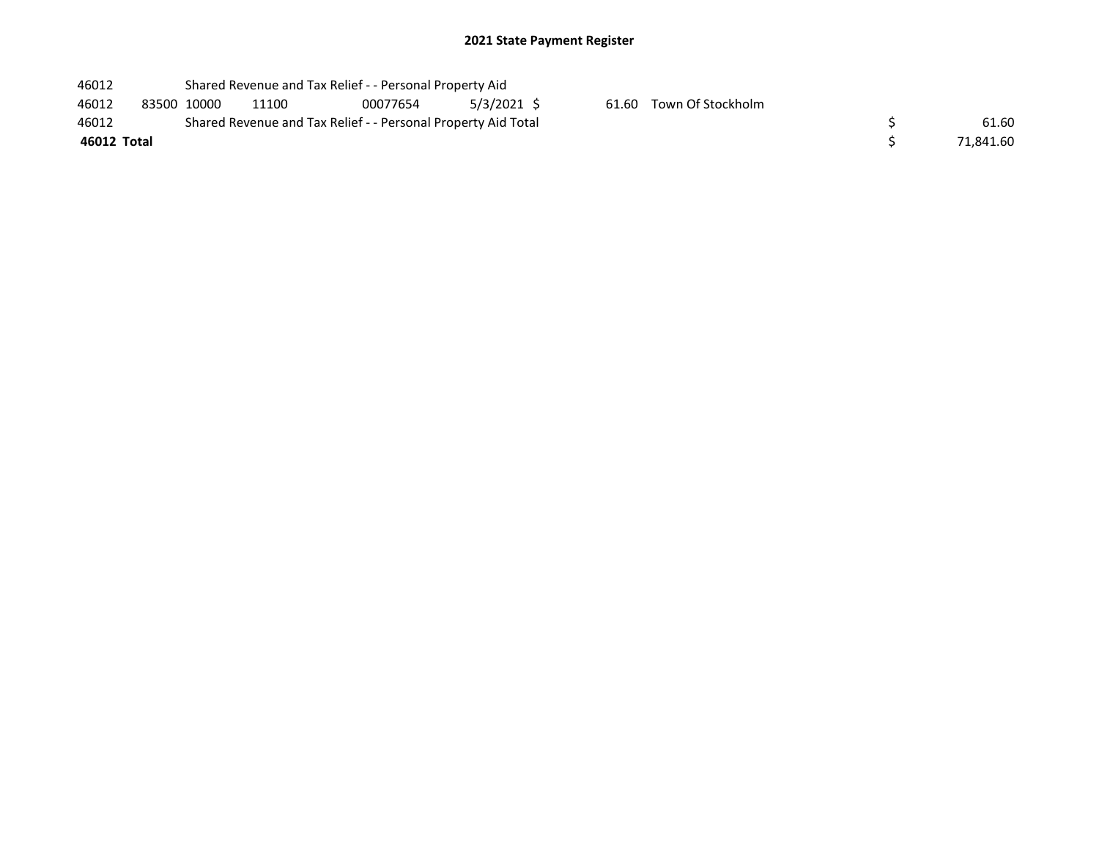| 46012 | Shared Revenue and Tax Relief - - Personal Property Aid |
|-------|---------------------------------------------------------|
|       |                                                         |

46012 83500 10000 11100 00077654 5/3/2021 \$ 61.60 Town Of Stockholm<br>46012 Shared Revenue and Tax Relief - - Personal Property Aid Total 46012 Shared Revenue and Tax Relief - - Personal Property Aid Total<br>46012 Total

| 46012       | Shared Revenue and Tax Relief - - Personal Property Aid Total | 61.60     |
|-------------|---------------------------------------------------------------|-----------|
| 46012 Total |                                                               | 71,841.60 |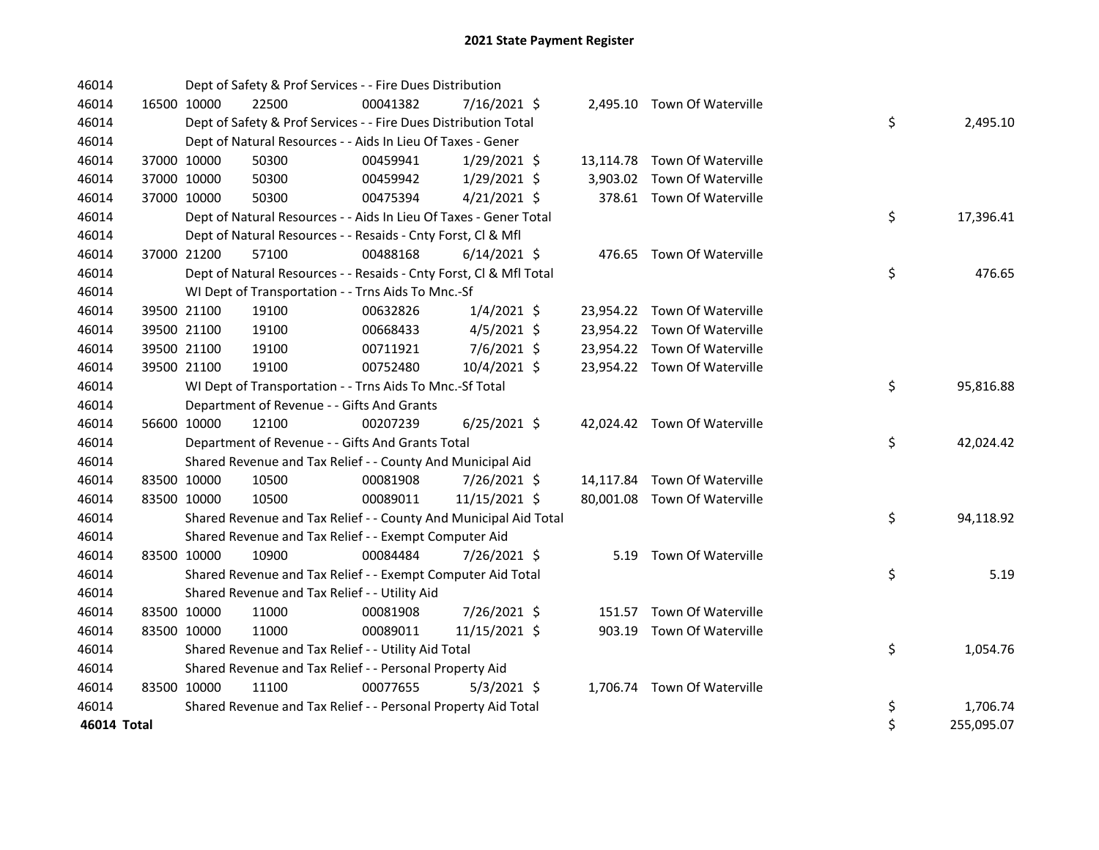| 46014       |             |             | Dept of Safety & Prof Services - - Fire Dues Distribution          |          |                |  |                              |    |            |
|-------------|-------------|-------------|--------------------------------------------------------------------|----------|----------------|--|------------------------------|----|------------|
| 46014       | 16500 10000 |             | 22500                                                              | 00041382 | $7/16/2021$ \$ |  | 2,495.10 Town Of Waterville  |    |            |
| 46014       |             |             | Dept of Safety & Prof Services - - Fire Dues Distribution Total    |          |                |  |                              | \$ | 2,495.10   |
| 46014       |             |             | Dept of Natural Resources - - Aids In Lieu Of Taxes - Gener        |          |                |  |                              |    |            |
| 46014       |             | 37000 10000 | 50300                                                              | 00459941 | $1/29/2021$ \$ |  | 13,114.78 Town Of Waterville |    |            |
| 46014       |             | 37000 10000 | 50300                                                              | 00459942 | 1/29/2021 \$   |  | 3,903.02 Town Of Waterville  |    |            |
| 46014       |             | 37000 10000 | 50300                                                              | 00475394 | $4/21/2021$ \$ |  | 378.61 Town Of Waterville    |    |            |
| 46014       |             |             | Dept of Natural Resources - - Aids In Lieu Of Taxes - Gener Total  |          |                |  |                              | \$ | 17,396.41  |
| 46014       |             |             | Dept of Natural Resources - - Resaids - Cnty Forst, Cl & Mfl       |          |                |  |                              |    |            |
| 46014       |             | 37000 21200 | 57100                                                              | 00488168 | $6/14/2021$ \$ |  | 476.65 Town Of Waterville    |    |            |
| 46014       |             |             | Dept of Natural Resources - - Resaids - Cnty Forst, CI & Mfl Total |          |                |  |                              | \$ | 476.65     |
| 46014       |             |             | WI Dept of Transportation - - Trns Aids To Mnc.-Sf                 |          |                |  |                              |    |            |
| 46014       |             | 39500 21100 | 19100                                                              | 00632826 | $1/4/2021$ \$  |  | 23,954.22 Town Of Waterville |    |            |
| 46014       |             | 39500 21100 | 19100                                                              | 00668433 | $4/5/2021$ \$  |  | 23,954.22 Town Of Waterville |    |            |
| 46014       |             | 39500 21100 | 19100                                                              | 00711921 | 7/6/2021 \$    |  | 23,954.22 Town Of Waterville |    |            |
| 46014       |             | 39500 21100 | 19100                                                              | 00752480 | 10/4/2021 \$   |  | 23,954.22 Town Of Waterville |    |            |
| 46014       |             |             | WI Dept of Transportation - - Trns Aids To Mnc.-Sf Total           |          |                |  |                              | \$ | 95,816.88  |
| 46014       |             |             | Department of Revenue - - Gifts And Grants                         |          |                |  |                              |    |            |
| 46014       |             | 56600 10000 | 12100                                                              | 00207239 | $6/25/2021$ \$ |  | 42,024.42 Town Of Waterville |    |            |
| 46014       |             |             | Department of Revenue - - Gifts And Grants Total                   |          |                |  |                              | \$ | 42,024.42  |
| 46014       |             |             | Shared Revenue and Tax Relief - - County And Municipal Aid         |          |                |  |                              |    |            |
| 46014       |             | 83500 10000 | 10500                                                              | 00081908 | 7/26/2021 \$   |  | 14,117.84 Town Of Waterville |    |            |
| 46014       |             | 83500 10000 | 10500                                                              | 00089011 | 11/15/2021 \$  |  | 80,001.08 Town Of Waterville |    |            |
| 46014       |             |             | Shared Revenue and Tax Relief - - County And Municipal Aid Total   |          |                |  |                              | \$ | 94,118.92  |
| 46014       |             |             | Shared Revenue and Tax Relief - - Exempt Computer Aid              |          |                |  |                              |    |            |
| 46014       |             | 83500 10000 | 10900                                                              | 00084484 | 7/26/2021 \$   |  | 5.19 Town Of Waterville      |    |            |
| 46014       |             |             | Shared Revenue and Tax Relief - - Exempt Computer Aid Total        |          |                |  |                              | \$ | 5.19       |
| 46014       |             |             | Shared Revenue and Tax Relief - - Utility Aid                      |          |                |  |                              |    |            |
| 46014       |             | 83500 10000 | 11000                                                              | 00081908 | 7/26/2021 \$   |  | 151.57 Town Of Waterville    |    |            |
| 46014       | 83500 10000 |             | 11000                                                              | 00089011 | 11/15/2021 \$  |  | 903.19 Town Of Waterville    |    |            |
| 46014       |             |             | Shared Revenue and Tax Relief - - Utility Aid Total                |          |                |  |                              | \$ | 1,054.76   |
| 46014       |             |             | Shared Revenue and Tax Relief - - Personal Property Aid            |          |                |  |                              |    |            |
| 46014       | 83500 10000 |             | 11100                                                              | 00077655 | $5/3/2021$ \$  |  | 1,706.74 Town Of Waterville  |    |            |
| 46014       |             |             | Shared Revenue and Tax Relief - - Personal Property Aid Total      |          |                |  |                              | \$ | 1,706.74   |
| 46014 Total |             |             |                                                                    |          |                |  |                              | \$ | 255,095.07 |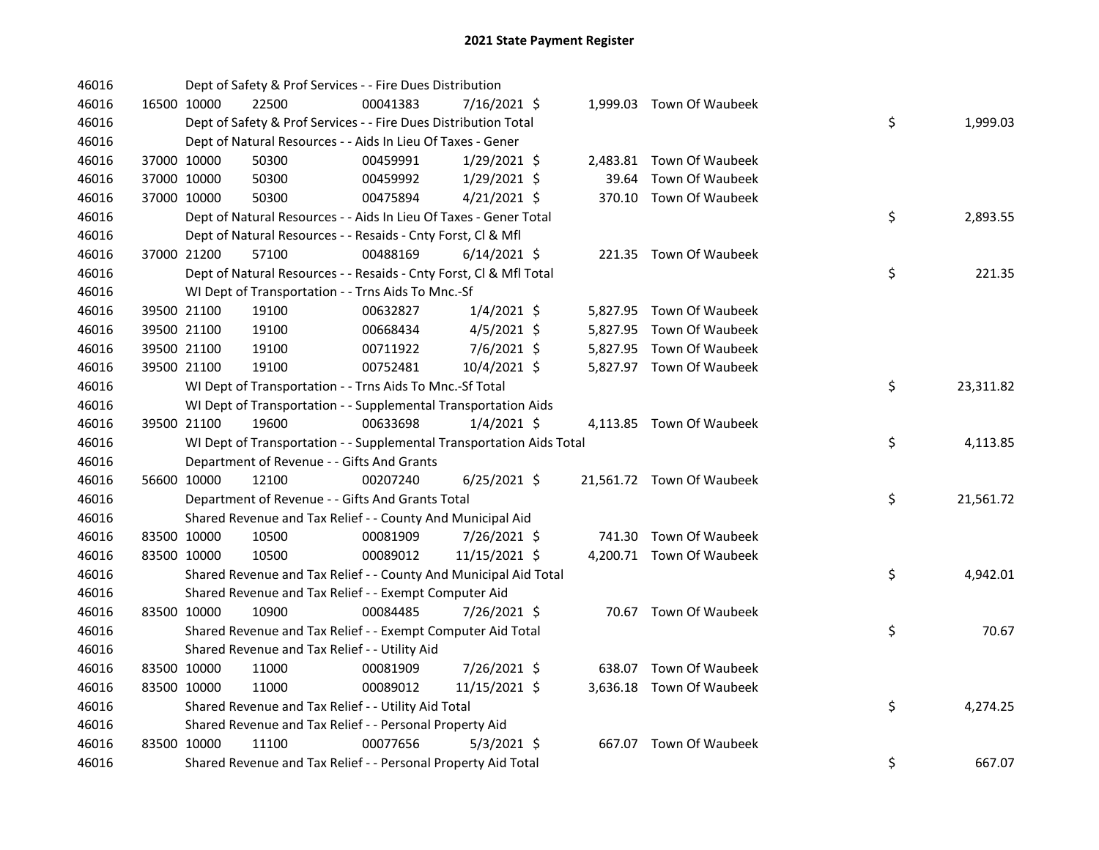| 46016 |             | Dept of Safety & Prof Services - - Fire Dues Distribution            |          |                |       |                           |    |           |
|-------|-------------|----------------------------------------------------------------------|----------|----------------|-------|---------------------------|----|-----------|
| 46016 | 16500 10000 | 22500                                                                | 00041383 | 7/16/2021 \$   |       | 1,999.03 Town Of Waubeek  |    |           |
| 46016 |             | Dept of Safety & Prof Services - - Fire Dues Distribution Total      |          |                |       |                           | \$ | 1,999.03  |
| 46016 |             | Dept of Natural Resources - - Aids In Lieu Of Taxes - Gener          |          |                |       |                           |    |           |
| 46016 | 37000 10000 | 50300                                                                | 00459991 | $1/29/2021$ \$ |       | 2,483.81 Town Of Waubeek  |    |           |
| 46016 | 37000 10000 | 50300                                                                | 00459992 | $1/29/2021$ \$ | 39.64 | Town Of Waubeek           |    |           |
| 46016 | 37000 10000 | 50300                                                                | 00475894 | $4/21/2021$ \$ |       | 370.10 Town Of Waubeek    |    |           |
| 46016 |             | Dept of Natural Resources - - Aids In Lieu Of Taxes - Gener Total    |          |                |       |                           | \$ | 2,893.55  |
| 46016 |             | Dept of Natural Resources - - Resaids - Cnty Forst, Cl & Mfl         |          |                |       |                           |    |           |
| 46016 | 37000 21200 | 57100                                                                | 00488169 | $6/14/2021$ \$ |       | 221.35 Town Of Waubeek    |    |           |
| 46016 |             | Dept of Natural Resources - - Resaids - Cnty Forst, Cl & Mfl Total   |          |                |       |                           | \$ | 221.35    |
| 46016 |             | WI Dept of Transportation - - Trns Aids To Mnc.-Sf                   |          |                |       |                           |    |           |
| 46016 | 39500 21100 | 19100                                                                | 00632827 | $1/4/2021$ \$  |       | 5,827.95 Town Of Waubeek  |    |           |
| 46016 | 39500 21100 | 19100                                                                | 00668434 | $4/5/2021$ \$  |       | 5,827.95 Town Of Waubeek  |    |           |
| 46016 | 39500 21100 | 19100                                                                | 00711922 | 7/6/2021 \$    |       | 5,827.95 Town Of Waubeek  |    |           |
| 46016 | 39500 21100 | 19100                                                                | 00752481 | 10/4/2021 \$   |       | 5,827.97 Town Of Waubeek  |    |           |
| 46016 |             | WI Dept of Transportation - - Trns Aids To Mnc.-Sf Total             |          |                |       |                           | \$ | 23,311.82 |
| 46016 |             | WI Dept of Transportation - - Supplemental Transportation Aids       |          |                |       |                           |    |           |
| 46016 | 39500 21100 | 19600                                                                | 00633698 | $1/4/2021$ \$  |       | 4,113.85 Town Of Waubeek  |    |           |
| 46016 |             | WI Dept of Transportation - - Supplemental Transportation Aids Total |          |                |       |                           | \$ | 4,113.85  |
| 46016 |             | Department of Revenue - - Gifts And Grants                           |          |                |       |                           |    |           |
| 46016 | 56600 10000 | 12100                                                                | 00207240 | $6/25/2021$ \$ |       | 21,561.72 Town Of Waubeek |    |           |
| 46016 |             | Department of Revenue - - Gifts And Grants Total                     |          |                |       |                           | \$ | 21,561.72 |
| 46016 |             | Shared Revenue and Tax Relief - - County And Municipal Aid           |          |                |       |                           |    |           |
| 46016 | 83500 10000 | 10500                                                                | 00081909 | 7/26/2021 \$   |       | 741.30 Town Of Waubeek    |    |           |
| 46016 | 83500 10000 | 10500                                                                | 00089012 | 11/15/2021 \$  |       | 4,200.71 Town Of Waubeek  |    |           |
| 46016 |             | Shared Revenue and Tax Relief - - County And Municipal Aid Total     |          |                |       |                           | \$ | 4,942.01  |
| 46016 |             | Shared Revenue and Tax Relief - - Exempt Computer Aid                |          |                |       |                           |    |           |
| 46016 | 83500 10000 | 10900                                                                | 00084485 | 7/26/2021 \$   |       | 70.67 Town Of Waubeek     |    |           |
| 46016 |             | Shared Revenue and Tax Relief - - Exempt Computer Aid Total          |          |                |       |                           | \$ | 70.67     |
| 46016 |             | Shared Revenue and Tax Relief - - Utility Aid                        |          |                |       |                           |    |           |
| 46016 | 83500 10000 | 11000                                                                | 00081909 | 7/26/2021 \$   |       | 638.07 Town Of Waubeek    |    |           |
| 46016 | 83500 10000 | 11000                                                                | 00089012 | 11/15/2021 \$  |       | 3,636.18 Town Of Waubeek  |    |           |
| 46016 |             | Shared Revenue and Tax Relief - - Utility Aid Total                  |          |                |       |                           | \$ | 4,274.25  |
| 46016 |             | Shared Revenue and Tax Relief - - Personal Property Aid              |          |                |       |                           |    |           |
| 46016 | 83500 10000 | 11100                                                                | 00077656 | $5/3/2021$ \$  |       | 667.07 Town Of Waubeek    |    |           |
| 46016 |             | Shared Revenue and Tax Relief - - Personal Property Aid Total        |          |                |       |                           | \$ | 667.07    |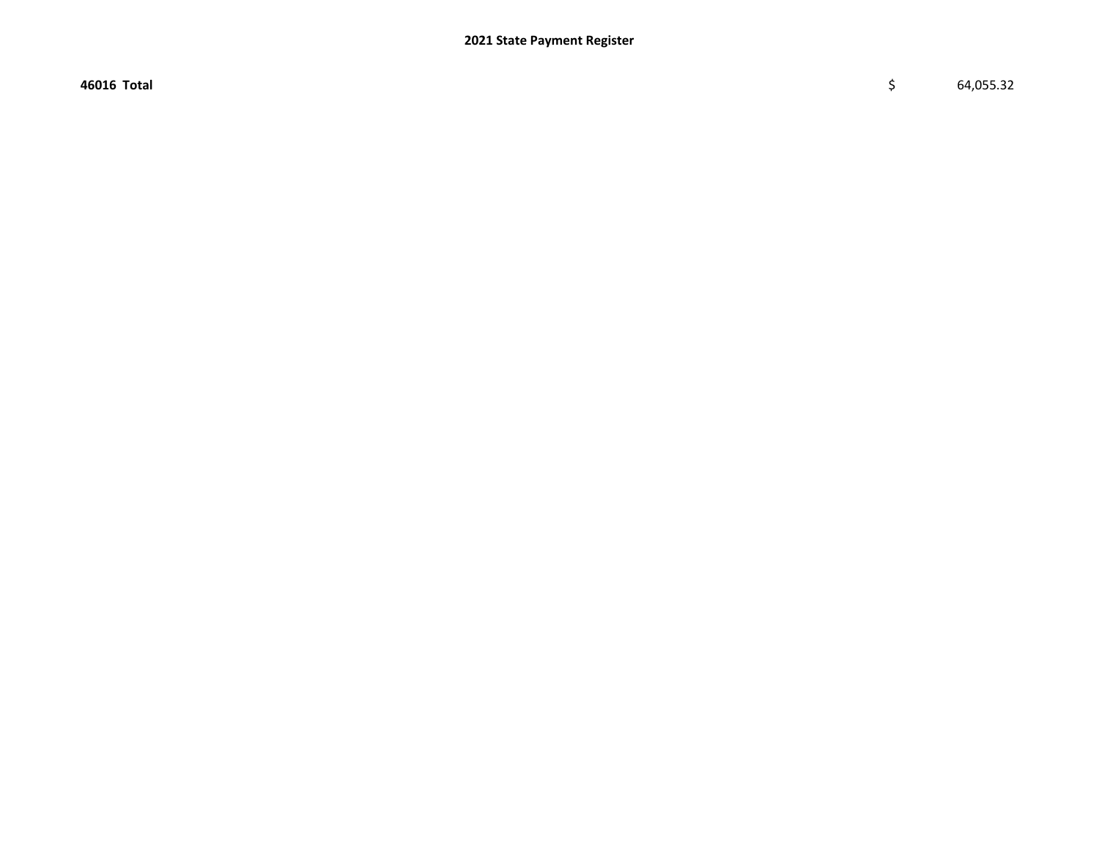46016 Total \$ 64,055.32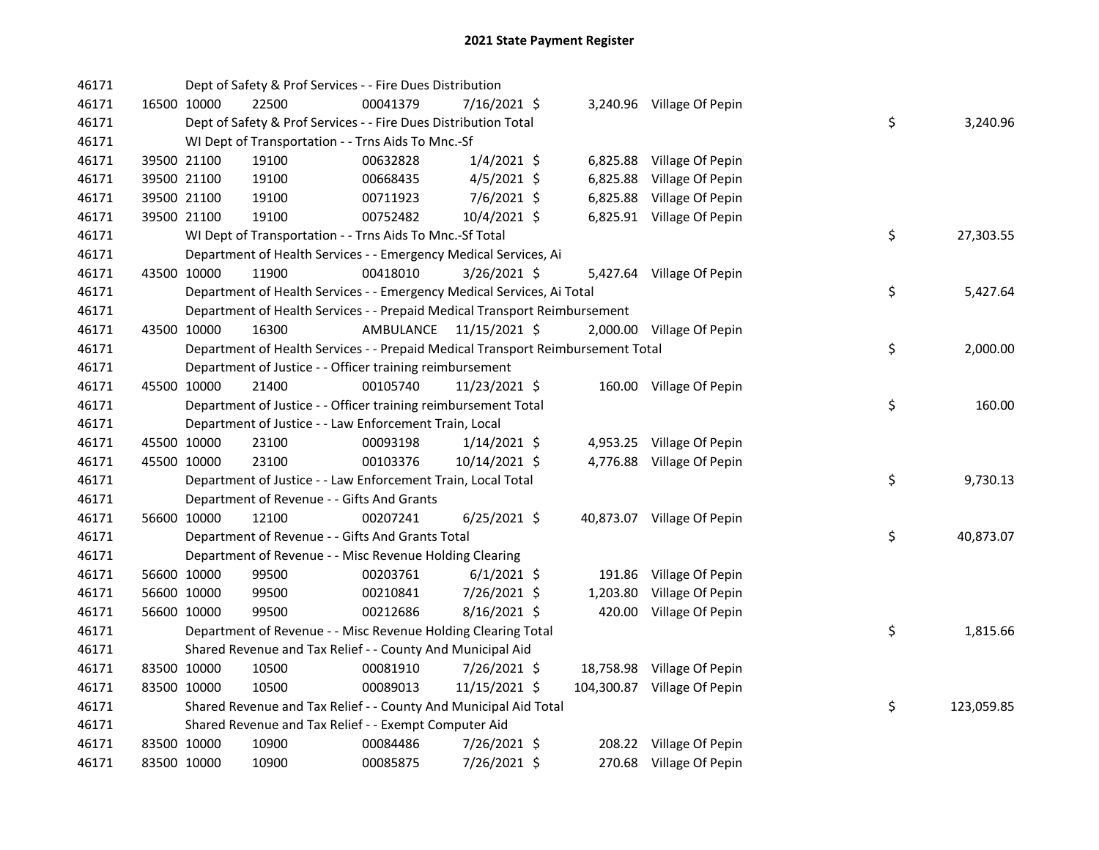| 46171 |             |             | Dept of Safety & Prof Services - - Fire Dues Distribution                       |                         |                |  |                             |    |            |
|-------|-------------|-------------|---------------------------------------------------------------------------------|-------------------------|----------------|--|-----------------------------|----|------------|
| 46171 |             | 16500 10000 | 22500                                                                           | 00041379                | 7/16/2021 \$   |  | 3,240.96 Village Of Pepin   |    |            |
| 46171 |             |             | Dept of Safety & Prof Services - - Fire Dues Distribution Total                 |                         |                |  |                             | \$ | 3,240.96   |
| 46171 |             |             | WI Dept of Transportation - - Trns Aids To Mnc.-Sf                              |                         |                |  |                             |    |            |
| 46171 |             | 39500 21100 | 19100                                                                           | 00632828                | $1/4/2021$ \$  |  | 6,825.88 Village Of Pepin   |    |            |
| 46171 |             | 39500 21100 | 19100                                                                           | 00668435                | $4/5/2021$ \$  |  | 6,825.88 Village Of Pepin   |    |            |
| 46171 |             | 39500 21100 | 19100                                                                           | 00711923                | $7/6/2021$ \$  |  | 6,825.88 Village Of Pepin   |    |            |
| 46171 |             | 39500 21100 | 19100                                                                           | 00752482                | 10/4/2021 \$   |  | 6,825.91 Village Of Pepin   |    |            |
| 46171 |             |             | WI Dept of Transportation - - Trns Aids To Mnc.-Sf Total                        |                         |                |  |                             | \$ | 27,303.55  |
| 46171 |             |             | Department of Health Services - - Emergency Medical Services, Ai                |                         |                |  |                             |    |            |
| 46171 | 43500 10000 |             | 11900                                                                           | 00418010                | $3/26/2021$ \$ |  | 5,427.64 Village Of Pepin   |    |            |
| 46171 |             |             | Department of Health Services - - Emergency Medical Services, Ai Total          |                         |                |  |                             | \$ | 5,427.64   |
| 46171 |             |             | Department of Health Services - - Prepaid Medical Transport Reimbursement       |                         |                |  |                             |    |            |
| 46171 |             | 43500 10000 | 16300                                                                           | AMBULANCE 11/15/2021 \$ |                |  | 2,000.00 Village Of Pepin   |    |            |
| 46171 |             |             | Department of Health Services - - Prepaid Medical Transport Reimbursement Total |                         |                |  |                             | \$ | 2,000.00   |
| 46171 |             |             | Department of Justice - - Officer training reimbursement                        |                         |                |  |                             |    |            |
| 46171 | 45500 10000 |             | 21400                                                                           | 00105740                | 11/23/2021 \$  |  | 160.00 Village Of Pepin     |    |            |
| 46171 |             |             | Department of Justice - - Officer training reimbursement Total                  |                         |                |  |                             | \$ | 160.00     |
| 46171 |             |             | Department of Justice - - Law Enforcement Train, Local                          |                         |                |  |                             |    |            |
| 46171 |             | 45500 10000 | 23100                                                                           | 00093198                | $1/14/2021$ \$ |  | 4,953.25 Village Of Pepin   |    |            |
| 46171 |             | 45500 10000 | 23100                                                                           | 00103376                | 10/14/2021 \$  |  | 4,776.88 Village Of Pepin   |    |            |
| 46171 |             |             | Department of Justice - - Law Enforcement Train, Local Total                    |                         |                |  |                             | \$ | 9,730.13   |
| 46171 |             |             | Department of Revenue - - Gifts And Grants                                      |                         |                |  |                             |    |            |
| 46171 |             | 56600 10000 | 12100                                                                           | 00207241                | $6/25/2021$ \$ |  | 40,873.07 Village Of Pepin  |    |            |
| 46171 |             |             | Department of Revenue - - Gifts And Grants Total                                |                         |                |  |                             | \$ | 40,873.07  |
| 46171 |             |             | Department of Revenue - - Misc Revenue Holding Clearing                         |                         |                |  |                             |    |            |
| 46171 |             | 56600 10000 | 99500                                                                           | 00203761                | $6/1/2021$ \$  |  | 191.86 Village Of Pepin     |    |            |
| 46171 |             | 56600 10000 | 99500                                                                           | 00210841                | 7/26/2021 \$   |  | 1,203.80 Village Of Pepin   |    |            |
| 46171 |             | 56600 10000 | 99500                                                                           | 00212686                | $8/16/2021$ \$ |  | 420.00 Village Of Pepin     |    |            |
| 46171 |             |             | Department of Revenue - - Misc Revenue Holding Clearing Total                   |                         |                |  |                             | \$ | 1,815.66   |
| 46171 |             |             | Shared Revenue and Tax Relief - - County And Municipal Aid                      |                         |                |  |                             |    |            |
| 46171 |             | 83500 10000 | 10500                                                                           | 00081910                | 7/26/2021 \$   |  | 18,758.98 Village Of Pepin  |    |            |
| 46171 | 83500 10000 |             | 10500                                                                           | 00089013                | 11/15/2021 \$  |  | 104,300.87 Village Of Pepin |    |            |
| 46171 |             |             | Shared Revenue and Tax Relief - - County And Municipal Aid Total                |                         |                |  |                             | \$ | 123,059.85 |
| 46171 |             |             | Shared Revenue and Tax Relief - - Exempt Computer Aid                           |                         |                |  |                             |    |            |
| 46171 |             | 83500 10000 | 10900                                                                           | 00084486                | 7/26/2021 \$   |  | 208.22 Village Of Pepin     |    |            |
| 46171 | 83500 10000 |             | 10900                                                                           | 00085875                | 7/26/2021 \$   |  | 270.68 Village Of Pepin     |    |            |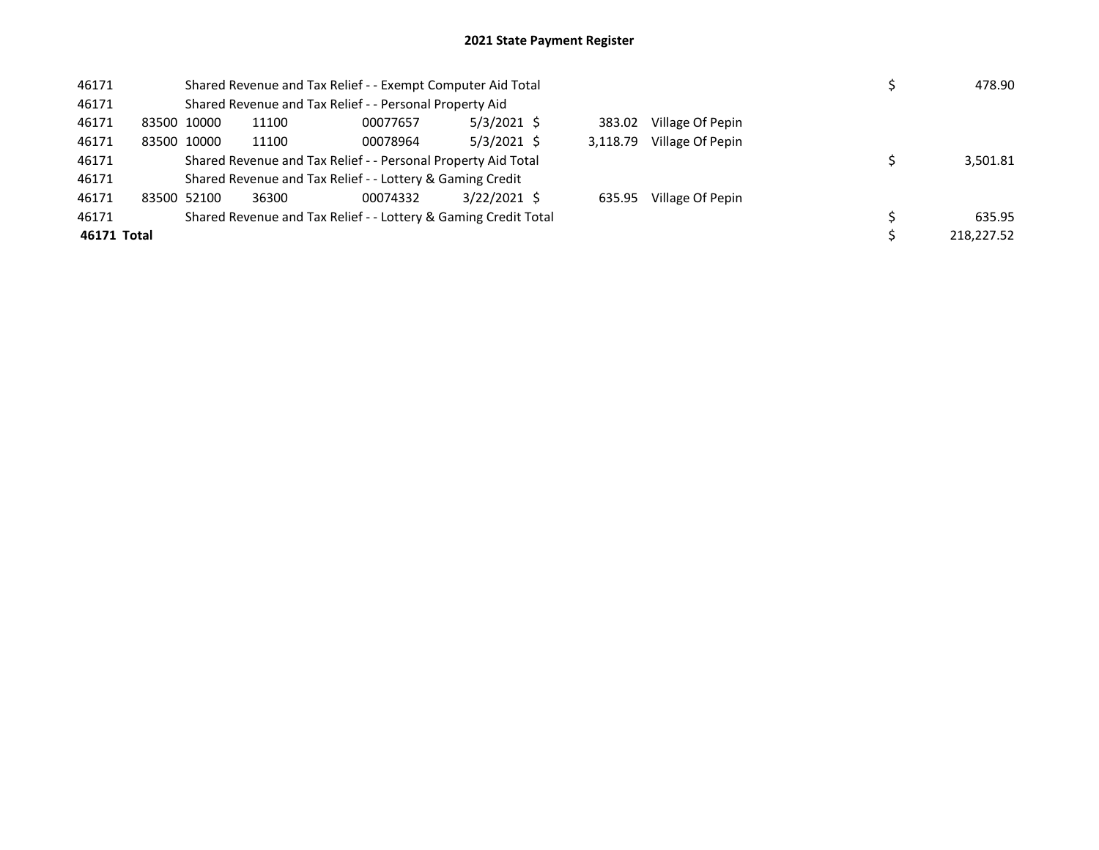| 46171       | Shared Revenue and Tax Relief - - Exempt Computer Aid Total |       |                                                                 |                |  |          |                  |  |  | 478.90     |
|-------------|-------------------------------------------------------------|-------|-----------------------------------------------------------------|----------------|--|----------|------------------|--|--|------------|
| 46171       |                                                             |       | Shared Revenue and Tax Relief - - Personal Property Aid         |                |  |          |                  |  |  |            |
| 46171       | 83500 10000                                                 | 11100 | 00077657                                                        | $5/3/2021$ \$  |  | 383.02   | Village Of Pepin |  |  |            |
| 46171       | 83500 10000                                                 | 11100 | 00078964                                                        | $5/3/2021$ \$  |  | 3,118.79 | Village Of Pepin |  |  |            |
| 46171       |                                                             |       | Shared Revenue and Tax Relief - - Personal Property Aid Total   |                |  |          |                  |  |  | 3,501.81   |
| 46171       |                                                             |       | Shared Revenue and Tax Relief - - Lottery & Gaming Credit       |                |  |          |                  |  |  |            |
| 46171       | 83500 52100                                                 | 36300 | 00074332                                                        | $3/22/2021$ \$ |  | 635.95   | Village Of Pepin |  |  |            |
| 46171       |                                                             |       | Shared Revenue and Tax Relief - - Lottery & Gaming Credit Total |                |  |          |                  |  |  | 635.95     |
| 46171 Total |                                                             |       |                                                                 |                |  |          |                  |  |  | 218.227.52 |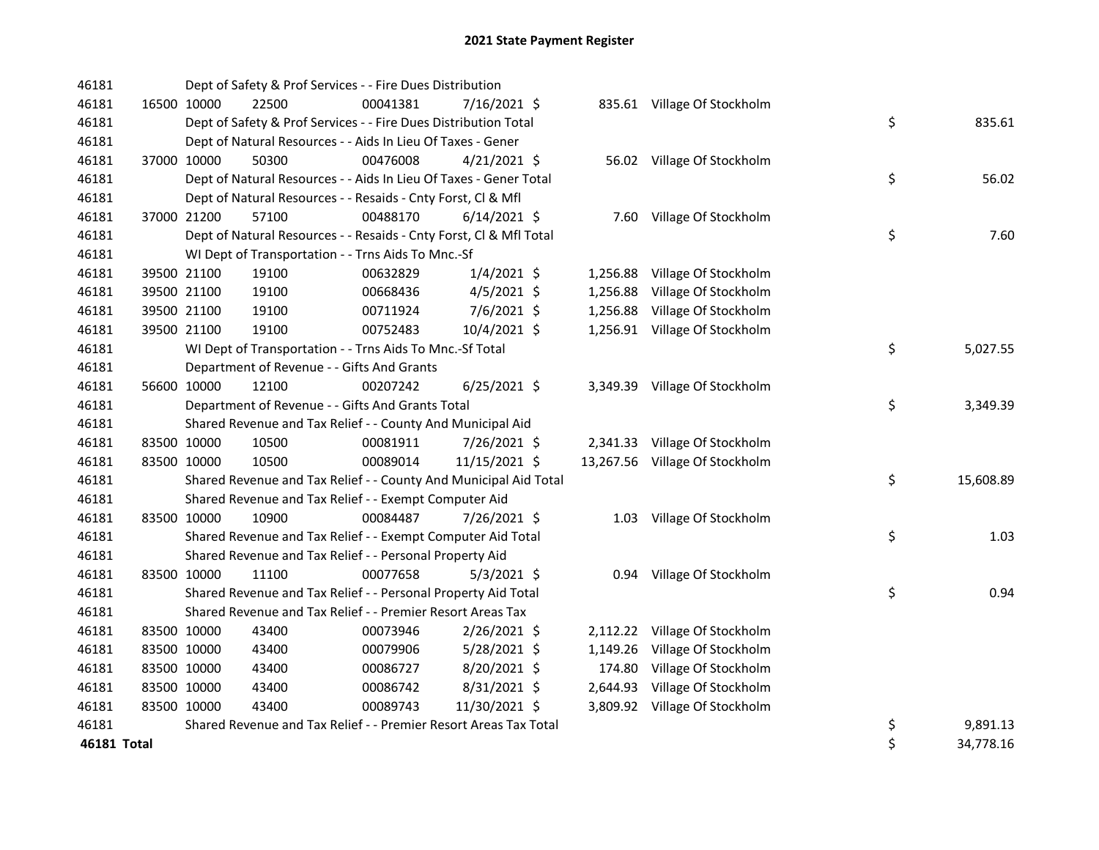| 46181       | Dept of Safety & Prof Services - - Fire Dues Distribution        |                                                                    |          |                |  |          |                                |    |           |
|-------------|------------------------------------------------------------------|--------------------------------------------------------------------|----------|----------------|--|----------|--------------------------------|----|-----------|
| 46181       | 16500 10000                                                      | 22500                                                              | 00041381 | 7/16/2021 \$   |  |          | 835.61 Village Of Stockholm    |    |           |
| 46181       | Dept of Safety & Prof Services - - Fire Dues Distribution Total  |                                                                    |          |                |  |          |                                |    | 835.61    |
| 46181       | Dept of Natural Resources - - Aids In Lieu Of Taxes - Gener      |                                                                    |          |                |  |          |                                |    |           |
| 46181       | 37000 10000                                                      | 50300                                                              | 00476008 | $4/21/2021$ \$ |  |          | 56.02 Village Of Stockholm     |    |           |
| 46181       |                                                                  | Dept of Natural Resources - - Aids In Lieu Of Taxes - Gener Total  | \$       | 56.02          |  |          |                                |    |           |
| 46181       |                                                                  | Dept of Natural Resources - - Resaids - Cnty Forst, Cl & Mfl       |          |                |  |          |                                |    |           |
| 46181       | 37000 21200                                                      | 57100                                                              | 00488170 | $6/14/2021$ \$ |  |          | 7.60 Village Of Stockholm      |    |           |
| 46181       |                                                                  | Dept of Natural Resources - - Resaids - Cnty Forst, Cl & Mfl Total | \$       | 7.60           |  |          |                                |    |           |
| 46181       |                                                                  | WI Dept of Transportation - - Trns Aids To Mnc.-Sf                 |          |                |  |          |                                |    |           |
| 46181       | 39500 21100                                                      | 19100                                                              | 00632829 | $1/4/2021$ \$  |  |          | 1,256.88 Village Of Stockholm  |    |           |
| 46181       | 39500 21100                                                      | 19100                                                              | 00668436 | $4/5/2021$ \$  |  |          | 1,256.88 Village Of Stockholm  |    |           |
| 46181       | 39500 21100                                                      | 19100                                                              | 00711924 | 7/6/2021 \$    |  |          | 1,256.88 Village Of Stockholm  |    |           |
| 46181       | 39500 21100                                                      | 19100                                                              | 00752483 | 10/4/2021 \$   |  |          | 1,256.91 Village Of Stockholm  |    |           |
| 46181       |                                                                  | WI Dept of Transportation - - Trns Aids To Mnc.-Sf Total           |          |                |  |          |                                | \$ | 5,027.55  |
| 46181       |                                                                  | Department of Revenue - - Gifts And Grants                         |          |                |  |          |                                |    |           |
| 46181       | 56600 10000                                                      | 12100                                                              | 00207242 | $6/25/2021$ \$ |  |          | 3,349.39 Village Of Stockholm  |    |           |
| 46181       |                                                                  | Department of Revenue - - Gifts And Grants Total                   | \$       | 3,349.39       |  |          |                                |    |           |
| 46181       |                                                                  | Shared Revenue and Tax Relief - - County And Municipal Aid         |          |                |  |          |                                |    |           |
| 46181       | 83500 10000                                                      | 10500                                                              | 00081911 | 7/26/2021 \$   |  |          | 2,341.33 Village Of Stockholm  |    |           |
| 46181       | 83500 10000                                                      | 10500                                                              | 00089014 | 11/15/2021 \$  |  |          | 13,267.56 Village Of Stockholm |    |           |
| 46181       | Shared Revenue and Tax Relief - - County And Municipal Aid Total |                                                                    |          |                |  |          |                                |    | 15,608.89 |
| 46181       | Shared Revenue and Tax Relief - - Exempt Computer Aid            |                                                                    |          |                |  |          |                                |    |           |
| 46181       | 83500 10000                                                      | 10900                                                              | 00084487 | 7/26/2021 \$   |  |          | 1.03 Village Of Stockholm      |    |           |
| 46181       | Shared Revenue and Tax Relief - - Exempt Computer Aid Total      |                                                                    |          |                |  |          |                                |    | 1.03      |
| 46181       |                                                                  | Shared Revenue and Tax Relief - - Personal Property Aid            |          |                |  |          |                                |    |           |
| 46181       | 83500 10000                                                      | 11100                                                              | 00077658 | $5/3/2021$ \$  |  |          | 0.94 Village Of Stockholm      |    |           |
| 46181       | Shared Revenue and Tax Relief - - Personal Property Aid Total    |                                                                    |          |                |  |          |                                |    | 0.94      |
| 46181       | Shared Revenue and Tax Relief - - Premier Resort Areas Tax       |                                                                    |          |                |  |          |                                |    |           |
| 46181       | 83500 10000                                                      | 43400                                                              | 00073946 | 2/26/2021 \$   |  |          | 2,112.22 Village Of Stockholm  |    |           |
| 46181       | 83500 10000                                                      | 43400                                                              | 00079906 | $5/28/2021$ \$ |  | 1,149.26 | Village Of Stockholm           |    |           |
| 46181       | 83500 10000                                                      | 43400                                                              | 00086727 | 8/20/2021 \$   |  |          | 174.80 Village Of Stockholm    |    |           |
| 46181       | 83500 10000                                                      | 43400                                                              | 00086742 | $8/31/2021$ \$ |  |          | 2,644.93 Village Of Stockholm  |    |           |
| 46181       | 83500 10000                                                      | 43400                                                              | 00089743 | 11/30/2021 \$  |  |          | 3,809.92 Village Of Stockholm  |    |           |
| 46181       |                                                                  | Shared Revenue and Tax Relief - - Premier Resort Areas Tax Total   |          |                |  |          |                                | \$ | 9,891.13  |
| 46181 Total |                                                                  |                                                                    |          |                |  |          |                                | \$ | 34,778.16 |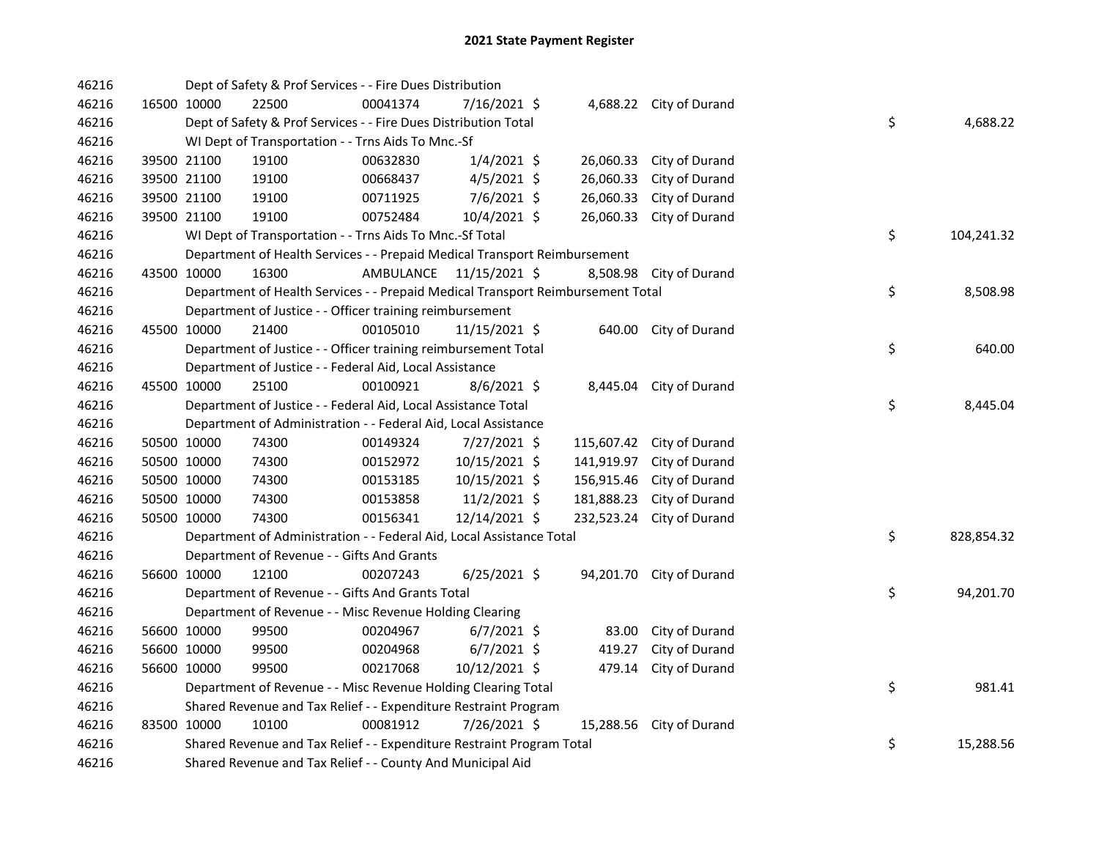| 46216 | Dept of Safety & Prof Services - - Fire Dues Distribution             |                                                                                 |           |                |  |            |                          |  |    |            |
|-------|-----------------------------------------------------------------------|---------------------------------------------------------------------------------|-----------|----------------|--|------------|--------------------------|--|----|------------|
| 46216 | 16500 10000                                                           | 22500                                                                           | 00041374  | 7/16/2021 \$   |  |            | 4,688.22 City of Durand  |  |    |            |
| 46216 | Dept of Safety & Prof Services - - Fire Dues Distribution Total       |                                                                                 |           |                |  |            |                          |  |    | 4,688.22   |
| 46216 | WI Dept of Transportation - - Trns Aids To Mnc.-Sf                    |                                                                                 |           |                |  |            |                          |  |    |            |
| 46216 | 39500 21100                                                           | 19100                                                                           | 00632830  | $1/4/2021$ \$  |  | 26,060.33  | City of Durand           |  |    |            |
| 46216 | 39500 21100                                                           | 19100                                                                           | 00668437  | $4/5/2021$ \$  |  | 26,060.33  | City of Durand           |  |    |            |
| 46216 | 39500 21100                                                           | 19100                                                                           | 00711925  | 7/6/2021 \$    |  | 26,060.33  | City of Durand           |  |    |            |
| 46216 | 39500 21100                                                           | 19100                                                                           | 00752484  | 10/4/2021 \$   |  | 26,060.33  | City of Durand           |  |    |            |
| 46216 |                                                                       | WI Dept of Transportation - - Trns Aids To Mnc.-Sf Total                        |           |                |  |            |                          |  | \$ | 104,241.32 |
| 46216 |                                                                       | Department of Health Services - - Prepaid Medical Transport Reimbursement       |           |                |  |            |                          |  |    |            |
| 46216 | 43500 10000                                                           | 16300                                                                           | AMBULANCE | 11/15/2021 \$  |  |            | 8,508.98 City of Durand  |  |    |            |
| 46216 |                                                                       | Department of Health Services - - Prepaid Medical Transport Reimbursement Total |           |                |  |            |                          |  | \$ | 8,508.98   |
| 46216 |                                                                       | Department of Justice - - Officer training reimbursement                        |           |                |  |            |                          |  |    |            |
| 46216 | 45500 10000                                                           | 21400                                                                           | 00105010  | 11/15/2021 \$  |  |            | 640.00 City of Durand    |  |    |            |
| 46216 |                                                                       | Department of Justice - - Officer training reimbursement Total                  |           |                |  |            |                          |  | \$ | 640.00     |
| 46216 |                                                                       | Department of Justice - - Federal Aid, Local Assistance                         |           |                |  |            |                          |  |    |            |
| 46216 | 45500 10000                                                           | 25100                                                                           | 00100921  | $8/6/2021$ \$  |  | 8,445.04   | City of Durand           |  |    |            |
| 46216 |                                                                       | Department of Justice - - Federal Aid, Local Assistance Total                   |           |                |  |            |                          |  | \$ | 8,445.04   |
| 46216 |                                                                       | Department of Administration - - Federal Aid, Local Assistance                  |           |                |  |            |                          |  |    |            |
| 46216 | 50500 10000                                                           | 74300                                                                           | 00149324  | 7/27/2021 \$   |  | 115,607.42 | City of Durand           |  |    |            |
| 46216 | 50500 10000                                                           | 74300                                                                           | 00152972  | 10/15/2021 \$  |  | 141,919.97 | City of Durand           |  |    |            |
| 46216 | 50500 10000                                                           | 74300                                                                           | 00153185  | 10/15/2021 \$  |  | 156,915.46 | City of Durand           |  |    |            |
| 46216 | 50500 10000                                                           | 74300                                                                           | 00153858  | $11/2/2021$ \$ |  | 181,888.23 | City of Durand           |  |    |            |
| 46216 | 50500 10000                                                           | 74300                                                                           | 00156341  | 12/14/2021 \$  |  | 232,523.24 | City of Durand           |  |    |            |
| 46216 | Department of Administration - - Federal Aid, Local Assistance Total  |                                                                                 |           |                |  |            |                          |  | \$ | 828,854.32 |
| 46216 | Department of Revenue - - Gifts And Grants                            |                                                                                 |           |                |  |            |                          |  |    |            |
| 46216 | 56600 10000                                                           | 12100                                                                           | 00207243  | $6/25/2021$ \$ |  |            | 94,201.70 City of Durand |  |    |            |
| 46216 | Department of Revenue - - Gifts And Grants Total                      |                                                                                 |           |                |  |            |                          |  |    | 94,201.70  |
| 46216 | Department of Revenue - - Misc Revenue Holding Clearing               |                                                                                 |           |                |  |            |                          |  |    |            |
| 46216 | 56600 10000                                                           | 99500                                                                           | 00204967  | $6/7/2021$ \$  |  | 83.00      | City of Durand           |  |    |            |
| 46216 | 56600 10000                                                           | 99500                                                                           | 00204968  | $6/7/2021$ \$  |  | 419.27     | City of Durand           |  |    |            |
| 46216 | 56600 10000                                                           | 99500                                                                           | 00217068  | 10/12/2021 \$  |  | 479.14     | City of Durand           |  |    |            |
| 46216 | Department of Revenue - - Misc Revenue Holding Clearing Total         |                                                                                 |           |                |  |            |                          |  | \$ | 981.41     |
| 46216 | Shared Revenue and Tax Relief - - Expenditure Restraint Program       |                                                                                 |           |                |  |            |                          |  |    |            |
| 46216 | 83500 10000                                                           | 10100                                                                           | 00081912  | 7/26/2021 \$   |  |            | 15,288.56 City of Durand |  |    |            |
| 46216 | Shared Revenue and Tax Relief - - Expenditure Restraint Program Total |                                                                                 |           |                |  |            |                          |  | \$ | 15,288.56  |
| 46216 | Shared Revenue and Tax Relief - - County And Municipal Aid            |                                                                                 |           |                |  |            |                          |  |    |            |